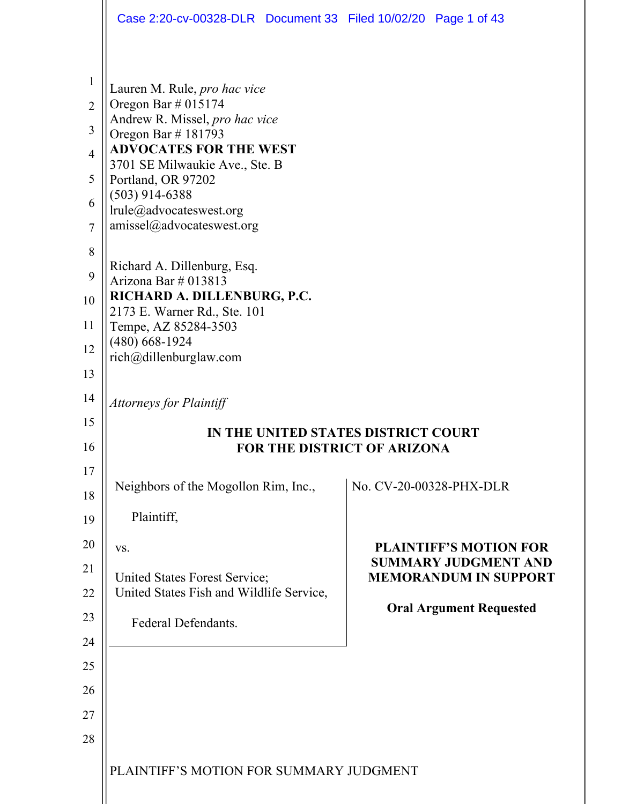|                | Case 2:20-cv-00328-DLR  Document 33  Filed 10/02/20  Page 1 of 43         |  |                                                              |  |
|----------------|---------------------------------------------------------------------------|--|--------------------------------------------------------------|--|
|                |                                                                           |  |                                                              |  |
| $\mathbf{1}$   | Lauren M. Rule, pro hac vice                                              |  |                                                              |  |
| $\overline{2}$ | Oregon Bar $\#$ 015174<br>Andrew R. Missel, pro hac vice                  |  |                                                              |  |
| 3              | Oregon Bar #181793                                                        |  |                                                              |  |
| $\overline{4}$ | <b>ADVOCATES FOR THE WEST</b><br>3701 SE Milwaukie Ave., Ste. B           |  |                                                              |  |
| 5              | Portland, OR 97202<br>$(503)$ 914-6388                                    |  |                                                              |  |
| 6              | lrule@advocateswest.org                                                   |  |                                                              |  |
| 7              | amissel@advocateswest.org                                                 |  |                                                              |  |
| 8<br>9         | Richard A. Dillenburg, Esq.<br>Arizona Bar # 013813                       |  |                                                              |  |
| 10             | RICHARD A. DILLENBURG, P.C.                                               |  |                                                              |  |
| 11             | 2173 E. Warner Rd., Ste. 101<br>Tempe, AZ 85284-3503                      |  |                                                              |  |
| 12             | $(480)$ 668-1924<br>rich@dillenburglaw.com                                |  |                                                              |  |
| 13             |                                                                           |  |                                                              |  |
| 14             | <b>Attorneys for Plaintiff</b>                                            |  |                                                              |  |
| 15             | THE UNITED STATES DISTRICT COURT                                          |  |                                                              |  |
| 16             | FOR THE DISTRICT OF ARIZONA                                               |  |                                                              |  |
| 17             | Neighbors of the Mogollon Rim, Inc.,                                      |  | No. CV-20-00328-PHX-DLR                                      |  |
| 18             |                                                                           |  |                                                              |  |
| 19             | Plaintiff,                                                                |  |                                                              |  |
| 20             | VS.                                                                       |  | <b>PLAINTIFF'S MOTION FOR</b><br><b>SUMMARY JUDGMENT AND</b> |  |
| 21<br>22       | United States Forest Service;<br>United States Fish and Wildlife Service, |  | <b>MEMORANDUM IN SUPPORT</b>                                 |  |
| 23             |                                                                           |  | <b>Oral Argument Requested</b>                               |  |
| 24             | Federal Defendants.                                                       |  |                                                              |  |
| 25             |                                                                           |  |                                                              |  |
| 26             |                                                                           |  |                                                              |  |
| 27             |                                                                           |  |                                                              |  |
| 28             |                                                                           |  |                                                              |  |
|                | PLAINTIFF'S MOTION FOR SUMMARY JUDGMENT                                   |  |                                                              |  |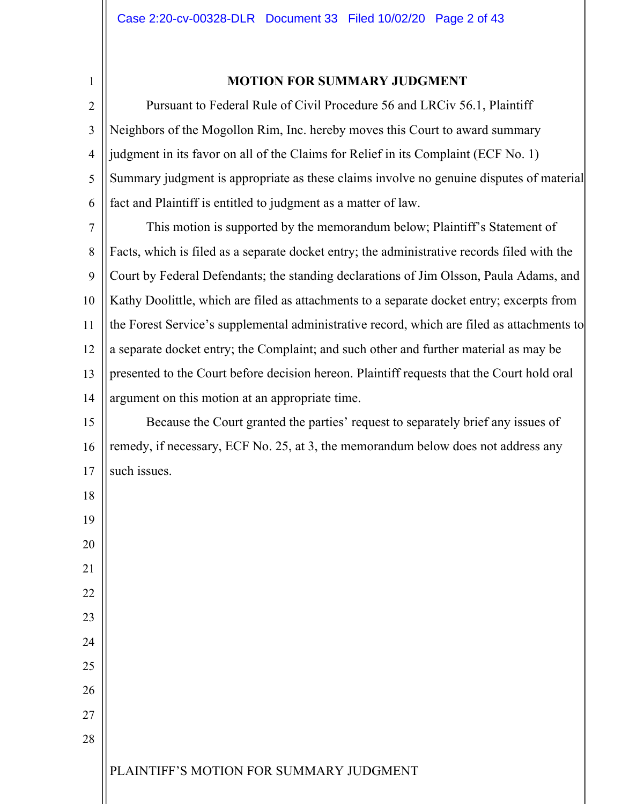1

18

19

20

21

22

23

24

25

26

27

28

## **MOTION FOR SUMMARY JUDGMENT**

2 3 4 5 6 Pursuant to Federal Rule of Civil Procedure 56 and LRCiv 56.1, Plaintiff Neighbors of the Mogollon Rim, Inc. hereby moves this Court to award summary judgment in its favor on all of the Claims for Relief in its Complaint (ECF No. 1) Summary judgment is appropriate as these claims involve no genuine disputes of material fact and Plaintiff is entitled to judgment as a matter of law.

7 8  $\mathbf Q$ 10 11 12 13 14 This motion is supported by the memorandum below; Plaintiff's Statement of Facts, which is filed as a separate docket entry; the administrative records filed with the Court by Federal Defendants; the standing declarations of Jim Olsson, Paula Adams, and Kathy Doolittle, which are filed as attachments to a separate docket entry; excerpts from the Forest Service's supplemental administrative record, which are filed as attachments to a separate docket entry; the Complaint; and such other and further material as may be presented to the Court before decision hereon. Plaintiff requests that the Court hold oral argument on this motion at an appropriate time.

15 16 17 Because the Court granted the parties' request to separately brief any issues of remedy, if necessary, ECF No. 25, at 3, the memorandum below does not address any such issues.

PLAINTIFF'S MOTION FOR SUMMARY JUDGMENT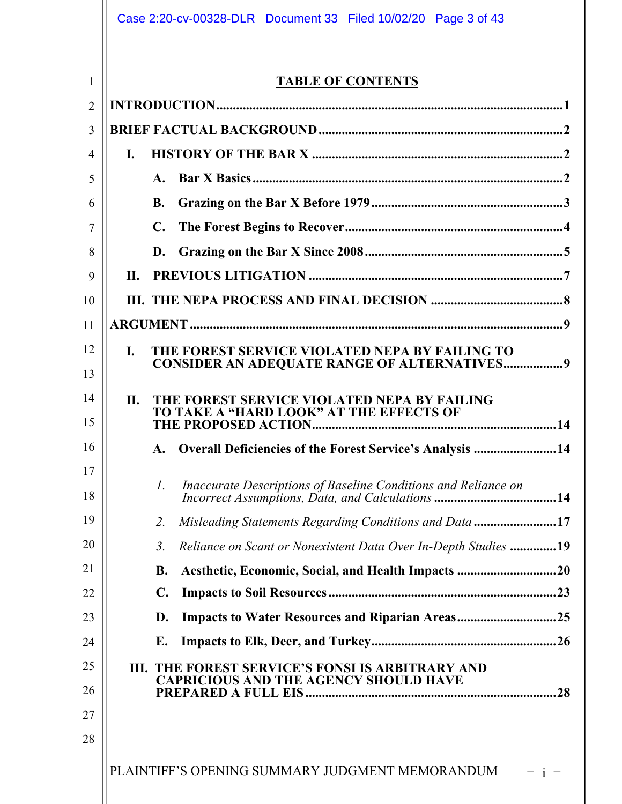|                |                | Case 2:20-cv-00328-DLR  Document 33  Filed 10/02/20  Page 3 of 43                                |  |
|----------------|----------------|--------------------------------------------------------------------------------------------------|--|
|                |                |                                                                                                  |  |
| $\mathbf{1}$   |                | <b>TABLE OF CONTENTS</b>                                                                         |  |
| $\overline{2}$ |                |                                                                                                  |  |
| 3              |                |                                                                                                  |  |
| 4              | $\mathbf{I}$ . |                                                                                                  |  |
| 5              |                |                                                                                                  |  |
| 6              |                | <b>B.</b>                                                                                        |  |
| 7              |                | C.                                                                                               |  |
| 8              |                | D.                                                                                               |  |
| 9              | П.             |                                                                                                  |  |
| 10             |                |                                                                                                  |  |
| 11             |                |                                                                                                  |  |
| 12             | L.             | THE FOREST SERVICE VIOLATED NEPA BY FAILING TO                                                   |  |
| 13             |                | <b>CONSIDER AN ADEQUATE RANGE OF ALTERNATIVES9</b>                                               |  |
| 14             | П.             | THE FOREST SERVICE VIOLATED NEPA BY FAILING<br>TO TAKE A "HARD LOOK" AT THE EFFECTS OF           |  |
| 15             |                |                                                                                                  |  |
| 16             |                | A. Overall Deficiencies of the Forest Service's Analysis 14                                      |  |
| 17             |                | Inaccurate Descriptions of Baseline Conditions and Reliance on<br>$\mathcal{I}$ .                |  |
| 18             |                |                                                                                                  |  |
| 19             |                | Misleading Statements Regarding Conditions and Data 17<br>2.                                     |  |
| 20             |                | Reliance on Scant or Nonexistent Data Over In-Depth Studies 19<br>$\mathfrak{Z}$ .               |  |
| 21             |                | <b>B.</b>                                                                                        |  |
| 22             |                | $\mathbf{C}$ .                                                                                   |  |
| 23             |                | <b>Impacts to Water Resources and Riparian Areas25</b><br>D.                                     |  |
| 24             |                | E.                                                                                               |  |
| 25             |                | III. THE FOREST SERVICE'S FONSI IS ARBITRARY AND<br><b>CAPRICIOUS AND THE AGENCY SHOULD HAVE</b> |  |
| 26             |                |                                                                                                  |  |
| 27             |                |                                                                                                  |  |
| 28             |                |                                                                                                  |  |
|                |                | PLAINTIFF'S OPENING SUMMARY JUDGMENT MEMORANDUM                                                  |  |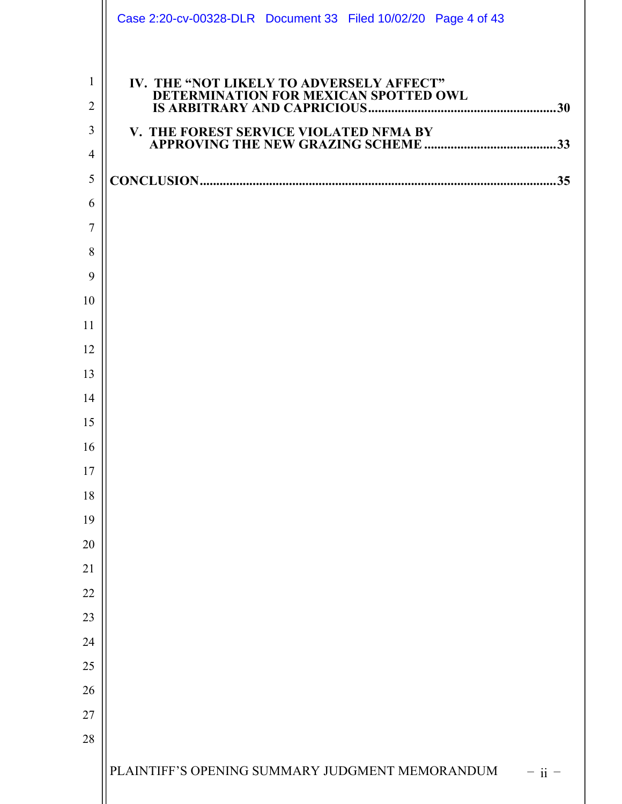|                     | Case 2:20-cv-00328-DLR Document 33 Filed 10/02/20 Page 4 of 43                    |
|---------------------|-----------------------------------------------------------------------------------|
| $\mathbf{1}$        | IV. THE "NOT LIKELY TO ADVERSELY AFFECT"<br>DETERMINATION FOR MEXICAN SPOTTED OWL |
| $\overline{2}$      |                                                                                   |
| 3                   | V. THE FOREST SERVICE VIOLATED NFMA BY<br>THE FUKEST SERVICE VIOLATED IN THAT BT  |
| $\overline{4}$      |                                                                                   |
| 5                   |                                                                                   |
| 6<br>$\overline{7}$ |                                                                                   |
| 8                   |                                                                                   |
| 9                   |                                                                                   |
| 10                  |                                                                                   |
| 11                  |                                                                                   |
| 12                  |                                                                                   |
| 13                  |                                                                                   |
| 14                  |                                                                                   |
| 15                  |                                                                                   |
| 16                  |                                                                                   |
| 17                  |                                                                                   |
| 18                  |                                                                                   |
| 19                  |                                                                                   |
| 20                  |                                                                                   |
| 21                  |                                                                                   |
| 22                  |                                                                                   |
| 23                  |                                                                                   |
| 24                  |                                                                                   |
| 25                  |                                                                                   |
| 26                  |                                                                                   |
| 27                  |                                                                                   |
| 28                  |                                                                                   |
|                     | PLAINTIFF'S OPENING SUMMARY JUDGMENT MEMORANDUM<br>$-$ ii $-$                     |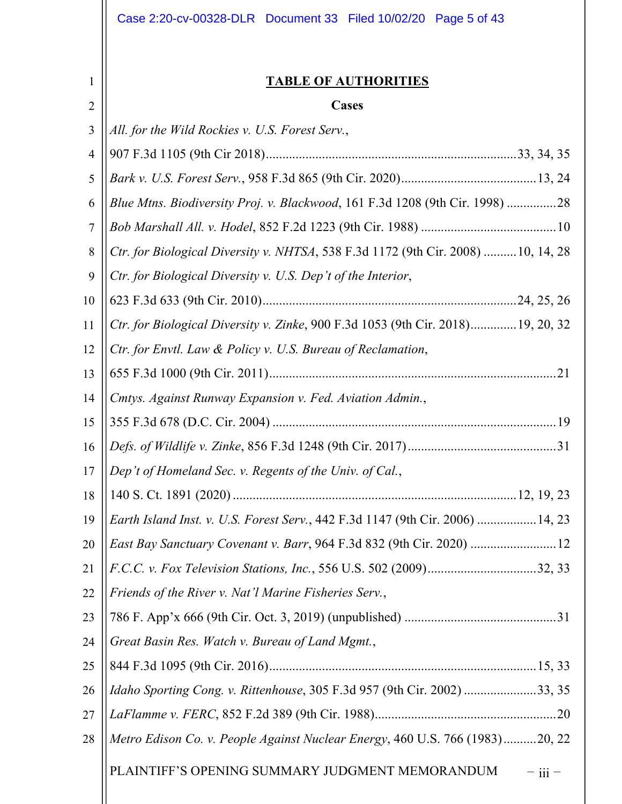|                | Case 2:20-cv-00328-DLR  Document 33  Filed 10/02/20  Page 5 of 43                 |  |
|----------------|-----------------------------------------------------------------------------------|--|
| 1              | <b>TABLE OF AUTHORITIES</b>                                                       |  |
| $\overline{2}$ | <b>Cases</b>                                                                      |  |
| 3              | All. for the Wild Rockies v. U.S. Forest Serv.,                                   |  |
| $\overline{4}$ |                                                                                   |  |
| 5              |                                                                                   |  |
| 6              | Blue Mtns. Biodiversity Proj. v. Blackwood, 161 F.3d 1208 (9th Cir. 1998) 28      |  |
| $\overline{7}$ |                                                                                   |  |
| 8              | Ctr. for Biological Diversity v. NHTSA, 538 F.3d 1172 (9th Cir. 2008)  10, 14, 28 |  |
| 9              | Ctr. for Biological Diversity v. U.S. Dep't of the Interior,                      |  |
| 10             |                                                                                   |  |
| 11             | Ctr. for Biological Diversity v. Zinke, 900 F.3d 1053 (9th Cir. 2018)19, 20, 32   |  |
| 12             | Ctr. for Envtl. Law & Policy v. U.S. Bureau of Reclamation,                       |  |
| 13             |                                                                                   |  |
| 14             | Cmtys. Against Runway Expansion v. Fed. Aviation Admin.,                          |  |
| 15             |                                                                                   |  |
| 16             |                                                                                   |  |
| 17             | Dep't of Homeland Sec. v. Regents of the Univ. of Cal.,                           |  |
| 18             |                                                                                   |  |
| 19             | Earth Island Inst. v. U.S. Forest Serv., 442 F.3d 1147 (9th Cir. 2006)  14, 23    |  |
| 20             |                                                                                   |  |
| 21             |                                                                                   |  |
| 22             | Friends of the River v. Nat'l Marine Fisheries Serv.,                             |  |
| 23             |                                                                                   |  |
| 24             | Great Basin Res. Watch v. Bureau of Land Mgmt.,                                   |  |
| 25             |                                                                                   |  |
| 26             | Idaho Sporting Cong. v. Rittenhouse, 305 F.3d 957 (9th Cir. 2002) 33, 35          |  |
| 27             |                                                                                   |  |
| 28             | Metro Edison Co. v. People Against Nuclear Energy, 460 U.S. 766 (1983)20, 22      |  |
|                | PLAINTIFF'S OPENING SUMMARY JUDGMENT MEMORANDUM<br>$-$ iii $-$                    |  |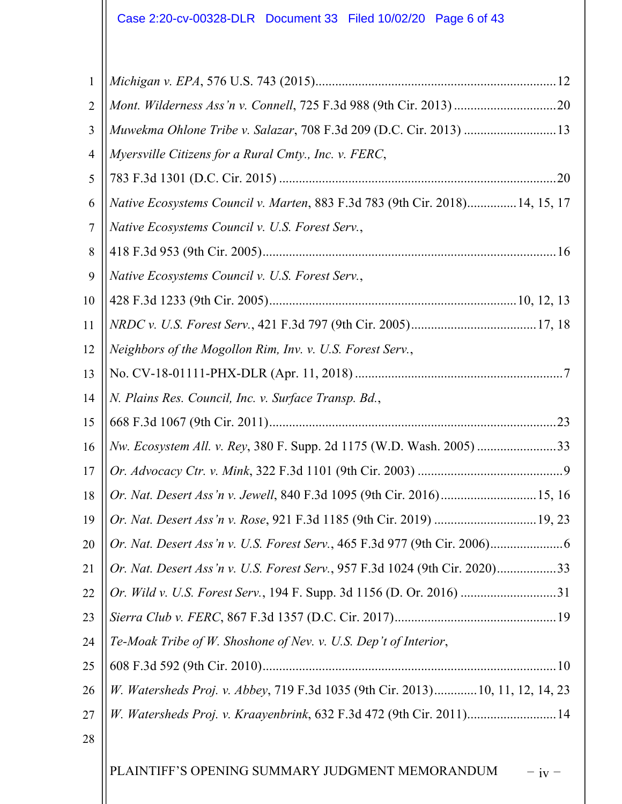# Case 2:20-cv-00328-DLR Document 33 Filed 10/02/20 Page 6 of 43

| $\mathbf{1}$   |                                                                               |
|----------------|-------------------------------------------------------------------------------|
| $\overline{2}$ |                                                                               |
| 3              | Muwekma Ohlone Tribe v. Salazar, 708 F.3d 209 (D.C. Cir. 2013)  13            |
| $\overline{4}$ | Myersville Citizens for a Rural Cmty., Inc. v. FERC,                          |
| 5              |                                                                               |
| 6              | Native Ecosystems Council v. Marten, 883 F.3d 783 (9th Cir. 2018) 14, 15, 17  |
| 7              | Native Ecosystems Council v. U.S. Forest Serv.,                               |
| 8              |                                                                               |
| 9              | Native Ecosystems Council v. U.S. Forest Serv.,                               |
| 10             |                                                                               |
| 11             |                                                                               |
| 12             | Neighbors of the Mogollon Rim, Inv. v. U.S. Forest Serv.,                     |
| 13             |                                                                               |
| 14             | N. Plains Res. Council, Inc. v. Surface Transp. Bd.,                          |
| 15             |                                                                               |
| 16             | Nw. Ecosystem All. v. Rey, 380 F. Supp. 2d 1175 (W.D. Wash. 2005) 33          |
| 17             |                                                                               |
| 18             | Or. Nat. Desert Ass'n v. Jewell, 840 F.3d 1095 (9th Cir. 2016)15, 16          |
|                | 19    Or. Nat. Desert Ass'n v. Rose, 921 F.3d 1185 (9th Cir. 2019)  19, 23    |
| 20             |                                                                               |
| 21             | Or. Nat. Desert Ass'n v. U.S. Forest Serv., 957 F.3d 1024 (9th Cir. 2020)33   |
| 22             | Or. Wild v. U.S. Forest Serv., 194 F. Supp. 3d 1156 (D. Or. 2016) 31          |
| 23             |                                                                               |
| 24             | Te-Moak Tribe of W. Shoshone of Nev. v. U.S. Dep't of Interior,               |
| 25             |                                                                               |
| 26             | W. Watersheds Proj. v. Abbey, 719 F.3d 1035 (9th Cir. 2013)10, 11, 12, 14, 23 |
| 27             | W. Watersheds Proj. v. Kraayenbrink, 632 F.3d 472 (9th Cir. 2011)14           |
| 28             |                                                                               |
|                | PLAINTIFF'S OPENING SUMMARY JUDGMENT MEMORANDUM<br>$iv -$                     |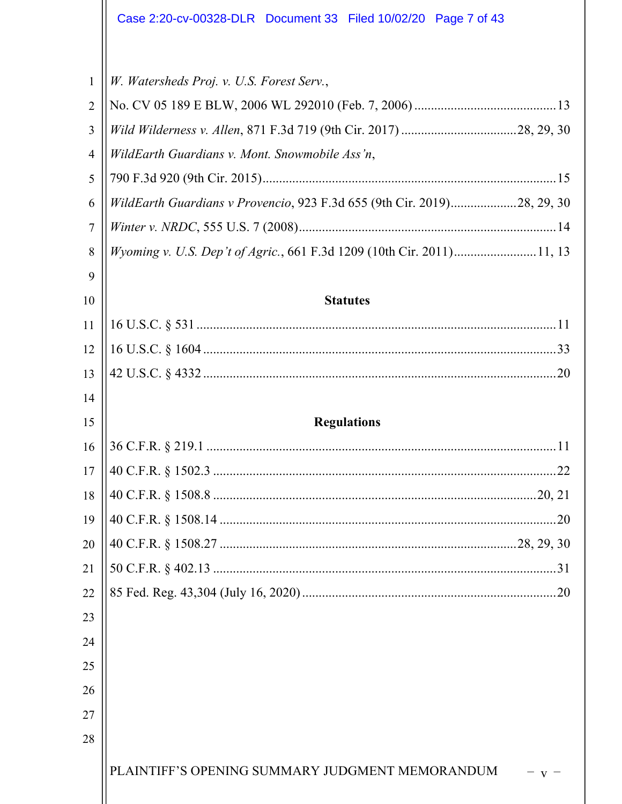| $\mathbf{1}$   | W. Watersheds Proj. v. U.S. Forest Serv.,                               |  |
|----------------|-------------------------------------------------------------------------|--|
| $\overline{2}$ |                                                                         |  |
| 3              |                                                                         |  |
| $\overline{4}$ | WildEarth Guardians v. Mont. Snowmobile Ass'n,                          |  |
| 5              |                                                                         |  |
| 6              | WildEarth Guardians v Provencio, 923 F.3d 655 (9th Cir. 2019)28, 29, 30 |  |
| $\overline{7}$ |                                                                         |  |
| 8              | Wyoming v. U.S. Dep't of Agric., 661 F.3d 1209 (10th Cir. 2011)11, 13   |  |
| 9              |                                                                         |  |
| 10             | <b>Statutes</b>                                                         |  |
| 11             |                                                                         |  |
| 12             |                                                                         |  |
| 13             |                                                                         |  |
| 14             |                                                                         |  |
| 15             | <b>Regulations</b>                                                      |  |
| 16             |                                                                         |  |
| 17             |                                                                         |  |
| 18             |                                                                         |  |
| 19             | .20                                                                     |  |
| 20             |                                                                         |  |
| 21             |                                                                         |  |
| 22             |                                                                         |  |
| 23             |                                                                         |  |
| 24             |                                                                         |  |
| 25             |                                                                         |  |
| 26             |                                                                         |  |
| 27             |                                                                         |  |
| 28             |                                                                         |  |
|                | PLAINTIFF'S OPENING SUMMARY JUDGMENT MEMORANDUM                         |  |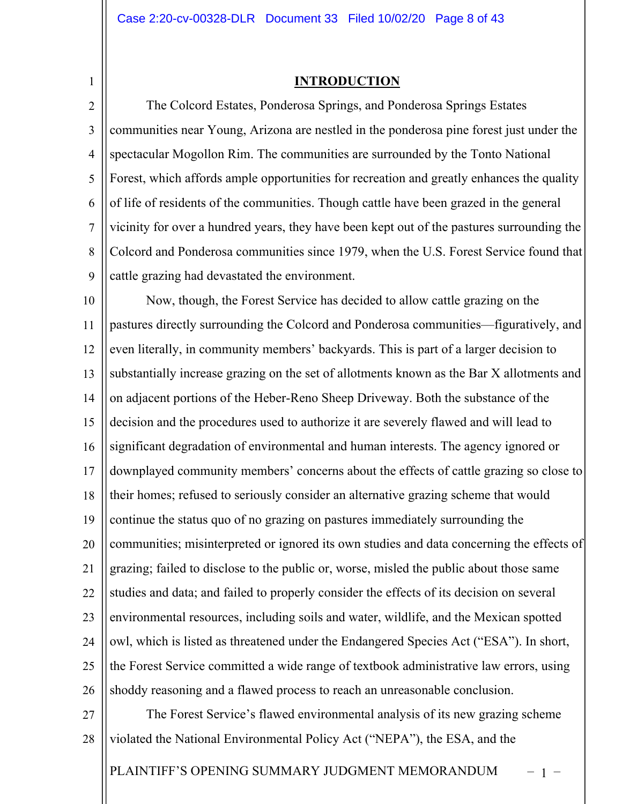1

## **INTRODUCTION**

2 3 4 5 6 7 8  $\mathbf Q$ The Colcord Estates, Ponderosa Springs, and Ponderosa Springs Estates communities near Young, Arizona are nestled in the ponderosa pine forest just under the spectacular Mogollon Rim. The communities are surrounded by the Tonto National Forest, which affords ample opportunities for recreation and greatly enhances the quality of life of residents of the communities. Though cattle have been grazed in the general vicinity for over a hundred years, they have been kept out of the pastures surrounding the Colcord and Ponderosa communities since 1979, when the U.S. Forest Service found that cattle grazing had devastated the environment.

10 11 12 13 14 15 16 17 18 19 20 21 22 23 24 25 26 Now, though, the Forest Service has decided to allow cattle grazing on the pastures directly surrounding the Colcord and Ponderosa communities—figuratively, and even literally, in community members' backyards. This is part of a larger decision to substantially increase grazing on the set of allotments known as the Bar X allotments and on adjacent portions of the Heber-Reno Sheep Driveway. Both the substance of the decision and the procedures used to authorize it are severely flawed and will lead to significant degradation of environmental and human interests. The agency ignored or downplayed community members' concerns about the effects of cattle grazing so close to their homes; refused to seriously consider an alternative grazing scheme that would continue the status quo of no grazing on pastures immediately surrounding the communities; misinterpreted or ignored its own studies and data concerning the effects of grazing; failed to disclose to the public or, worse, misled the public about those same studies and data; and failed to properly consider the effects of its decision on several environmental resources, including soils and water, wildlife, and the Mexican spotted owl, which is listed as threatened under the Endangered Species Act ("ESA"). In short, the Forest Service committed a wide range of textbook administrative law errors, using shoddy reasoning and a flawed process to reach an unreasonable conclusion.

27 28 The Forest Service's flawed environmental analysis of its new grazing scheme violated the National Environmental Policy Act ("NEPA"), the ESA, and the

PLAINTIFF'S OPENING SUMMARY JUDGMENT MEMORANDUM – 1 –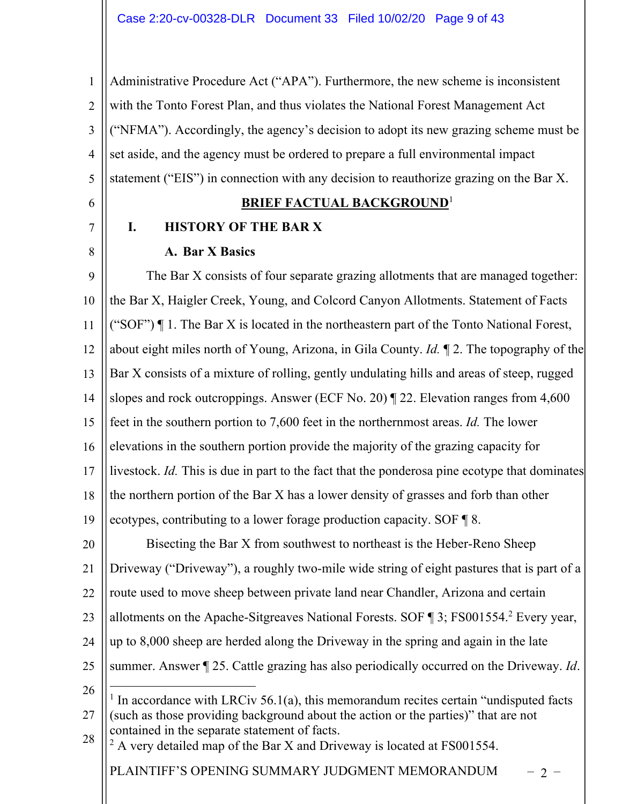1 2 3 4 5 Administrative Procedure Act ("APA"). Furthermore, the new scheme is inconsistent with the Tonto Forest Plan, and thus violates the National Forest Management Act ("NFMA"). Accordingly, the agency's decision to adopt its new grazing scheme must be set aside, and the agency must be ordered to prepare a full environmental impact statement ("EIS") in connection with any decision to reauthorize grazing on the Bar X.

## **BRIEF FACTUAL BACKGROUND**<sup>1</sup>

## 8

6

7

## **A. Bar X Basics**

**I. HISTORY OF THE BAR X**

 $\mathbf Q$ 10 11 12 13 14 15 16 17 18 19 The Bar X consists of four separate grazing allotments that are managed together: the Bar X, Haigler Creek, Young, and Colcord Canyon Allotments. Statement of Facts ("SOF")  $\P$  1. The Bar X is located in the northeastern part of the Tonto National Forest, about eight miles north of Young, Arizona, in Gila County. *Id.* ¶ 2. The topography of the Bar X consists of a mixture of rolling, gently undulating hills and areas of steep, rugged slopes and rock outcroppings. Answer (ECF No. 20) ¶ 22. Elevation ranges from 4,600 feet in the southern portion to 7,600 feet in the northernmost areas. *Id.* The lower elevations in the southern portion provide the majority of the grazing capacity for livestock. *Id.* This is due in part to the fact that the ponderosa pine ecotype that dominates the northern portion of the Bar X has a lower density of grasses and forb than other ecotypes, contributing to a lower forage production capacity. SOF ¶ 8.

20 21 22 23 24 25 26 Bisecting the Bar X from southwest to northeast is the Heber-Reno Sheep Driveway ("Driveway"), a roughly two-mile wide string of eight pastures that is part of a route used to move sheep between private land near Chandler, Arizona and certain allotments on the Apache-Sitgreaves National Forests. SOF ¶ 3; FS001554.<sup>2</sup> Every year, up to 8,000 sheep are herded along the Driveway in the spring and again in the late summer. Answer ¶ 25. Cattle grazing has also periodically occurred on the Driveway. *Id*.

PLAINTIFF'S OPENING SUMMARY JUDGMENT MEMORANDUM – 2 –

<sup>27</sup> 28  $1$  In accordance with LRCiv 56.1(a), this memorandum recites certain "undisputed facts (such as those providing background about the action or the parties)" that are not contained in the separate statement of facts.

 $^{2}$  A very detailed map of the Bar X and Driveway is located at FS001554.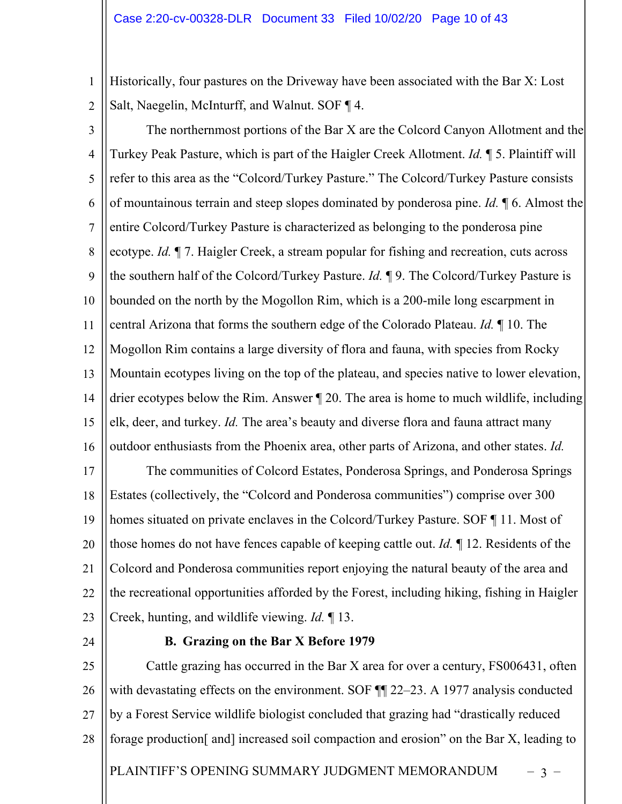1 2 Historically, four pastures on the Driveway have been associated with the Bar X: Lost Salt, Naegelin, McInturff, and Walnut. SOF ¶ 4.

3

4 5 6 7 8  $\mathbf Q$ 10 11 12 13 14 15 16 17 18 19 20 21 22 23 The northernmost portions of the Bar X are the Colcord Canyon Allotment and the Turkey Peak Pasture, which is part of the Haigler Creek Allotment. *Id.* ¶ 5. Plaintiff will refer to this area as the "Colcord/Turkey Pasture." The Colcord/Turkey Pasture consists of mountainous terrain and steep slopes dominated by ponderosa pine. *Id.* ¶ 6. Almost the entire Colcord/Turkey Pasture is characterized as belonging to the ponderosa pine ecotype. *Id.* ¶ 7. Haigler Creek, a stream popular for fishing and recreation, cuts across the southern half of the Colcord/Turkey Pasture. *Id.* ¶ 9. The Colcord/Turkey Pasture is bounded on the north by the Mogollon Rim, which is a 200-mile long escarpment in central Arizona that forms the southern edge of the Colorado Plateau. *Id.* ¶ 10. The Mogollon Rim contains a large diversity of flora and fauna, with species from Rocky Mountain ecotypes living on the top of the plateau, and species native to lower elevation, drier ecotypes below the Rim. Answer ¶ 20. The area is home to much wildlife, including elk, deer, and turkey. *Id.* The area's beauty and diverse flora and fauna attract many outdoor enthusiasts from the Phoenix area, other parts of Arizona, and other states. *Id.* The communities of Colcord Estates, Ponderosa Springs, and Ponderosa Springs Estates (collectively, the "Colcord and Ponderosa communities") comprise over 300 homes situated on private enclaves in the Colcord/Turkey Pasture. SOF ¶ 11. Most of those homes do not have fences capable of keeping cattle out. *Id.* ¶ 12. Residents of the Colcord and Ponderosa communities report enjoying the natural beauty of the area and the recreational opportunities afforded by the Forest, including hiking, fishing in Haigler Creek, hunting, and wildlife viewing. *Id.* ¶ 13.

24

#### **B. Grazing on the Bar X Before 1979**

PLAINTIFF'S OPENING SUMMARY JUDGMENT MEMORANDUM – 3 – 25 26 27 28 Cattle grazing has occurred in the Bar X area for over a century, FS006431, often with devastating effects on the environment. SOF  $\P$  22–23. A 1977 analysis conducted by a Forest Service wildlife biologist concluded that grazing had "drastically reduced forage production [and] increased soil compaction and erosion" on the Bar X, leading to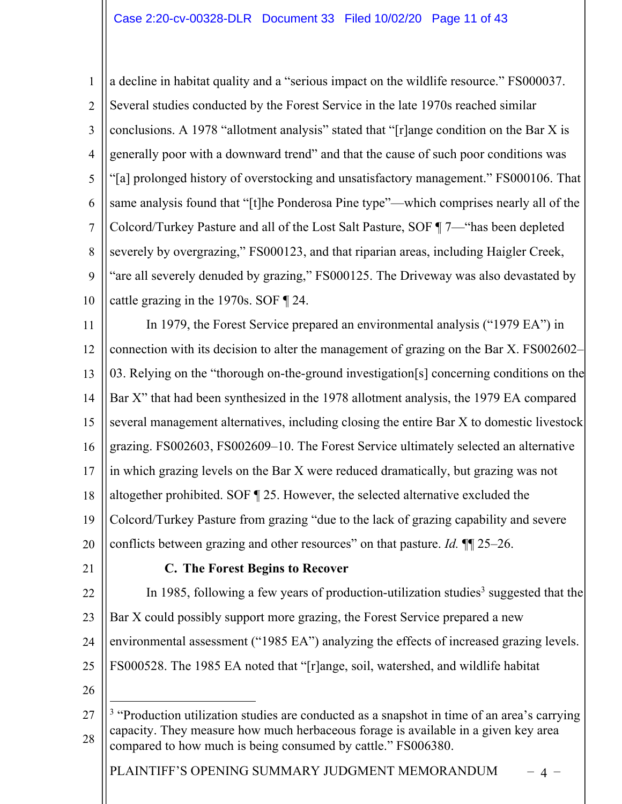1 2 3 4 5 6 7 8  $\mathbf Q$ 10 a decline in habitat quality and a "serious impact on the wildlife resource." FS000037. Several studies conducted by the Forest Service in the late 1970s reached similar conclusions. A 1978 "allotment analysis" stated that "[r]ange condition on the Bar X is generally poor with a downward trend" and that the cause of such poor conditions was "[a] prolonged history of overstocking and unsatisfactory management." FS000106. That same analysis found that "[t]he Ponderosa Pine type"—which comprises nearly all of the Colcord/Turkey Pasture and all of the Lost Salt Pasture, SOF ¶ 7—"has been depleted severely by overgrazing," FS000123, and that riparian areas, including Haigler Creek, "are all severely denuded by grazing," FS000125. The Driveway was also devastated by cattle grazing in the 1970s. SOF ¶ 24.

11 12 13 14 15 16 17 18 19 20 In 1979, the Forest Service prepared an environmental analysis ("1979 EA") in connection with its decision to alter the management of grazing on the Bar X. FS002602– 03. Relying on the "thorough on-the-ground investigation[s] concerning conditions on the Bar X" that had been synthesized in the 1978 allotment analysis, the 1979 EA compared several management alternatives, including closing the entire Bar X to domestic livestock grazing. FS002603, FS002609–10. The Forest Service ultimately selected an alternative in which grazing levels on the Bar X were reduced dramatically, but grazing was not altogether prohibited. SOF ¶ 25. However, the selected alternative excluded the Colcord/Turkey Pasture from grazing "due to the lack of grazing capability and severe conflicts between grazing and other resources" on that pasture. *Id.* ¶¶ 25–26.

21

## **C. The Forest Begins to Recover**

22 23 24 25 In 1985, following a few years of production-utilization studies<sup>3</sup> suggested that the Bar X could possibly support more grazing, the Forest Service prepared a new environmental assessment ("1985 EA") analyzing the effects of increased grazing levels. FS000528. The 1985 EA noted that "[r]ange, soil, watershed, and wildlife habitat

26

PLAINTIFF'S OPENING SUMMARY JUDGMENT MEMORANDUM – 4 –

<sup>27</sup> 28 <sup>3</sup> "Production utilization studies are conducted as a snapshot in time of an area's carrying capacity. They measure how much herbaceous forage is available in a given key area compared to how much is being consumed by cattle." FS006380.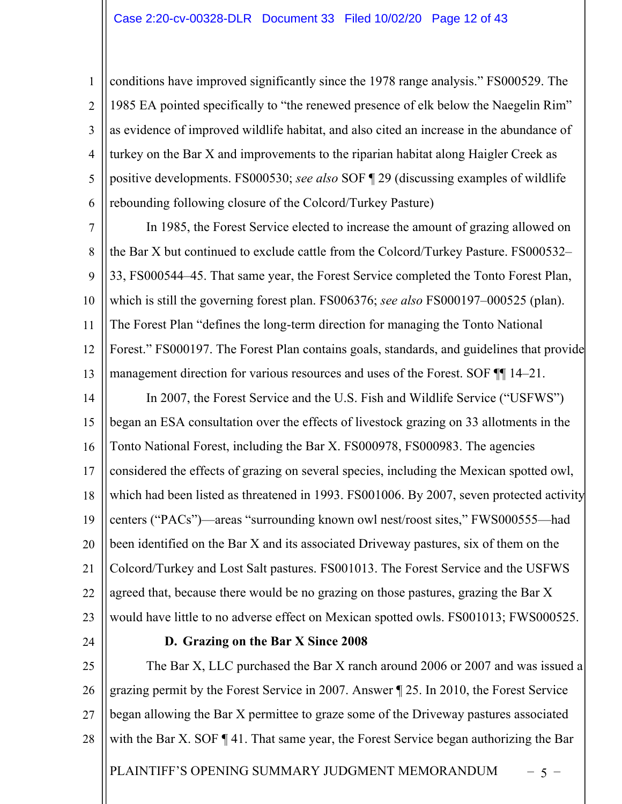1 2 3 4 5 6 conditions have improved significantly since the 1978 range analysis." FS000529. The 1985 EA pointed specifically to "the renewed presence of elk below the Naegelin Rim" as evidence of improved wildlife habitat, and also cited an increase in the abundance of turkey on the Bar X and improvements to the riparian habitat along Haigler Creek as positive developments. FS000530; *see also* SOF ¶ 29 (discussing examples of wildlife rebounding following closure of the Colcord/Turkey Pasture)

7 8 9 10 11 12 13 In 1985, the Forest Service elected to increase the amount of grazing allowed on the Bar X but continued to exclude cattle from the Colcord/Turkey Pasture. FS000532– 33, FS000544–45. That same year, the Forest Service completed the Tonto Forest Plan, which is still the governing forest plan. FS006376; *see also* FS000197–000525 (plan). The Forest Plan "defines the long-term direction for managing the Tonto National Forest." FS000197. The Forest Plan contains goals, standards, and guidelines that provide management direction for various resources and uses of the Forest. SOF  $\P$  14–21.

14 15 16 17 18 19 20 21 22 23 In 2007, the Forest Service and the U.S. Fish and Wildlife Service ("USFWS") began an ESA consultation over the effects of livestock grazing on 33 allotments in the Tonto National Forest, including the Bar X. FS000978, FS000983. The agencies considered the effects of grazing on several species, including the Mexican spotted owl, which had been listed as threatened in 1993. FS001006. By 2007, seven protected activity centers ("PACs")—areas "surrounding known owl nest/roost sites," FWS000555—had been identified on the Bar X and its associated Driveway pastures, six of them on the Colcord/Turkey and Lost Salt pastures. FS001013. The Forest Service and the USFWS agreed that, because there would be no grazing on those pastures, grazing the Bar X would have little to no adverse effect on Mexican spotted owls. FS001013; FWS000525.

24

#### **D. Grazing on the Bar X Since 2008**

25 26 27 28 The Bar X, LLC purchased the Bar X ranch around 2006 or 2007 and was issued a grazing permit by the Forest Service in 2007. Answer ¶ 25. In 2010, the Forest Service began allowing the Bar X permittee to graze some of the Driveway pastures associated with the Bar X. SOF ¶ 41. That same year, the Forest Service began authorizing the Bar

PLAINTIFF'S OPENING SUMMARY JUDGMENT MEMORANDUM – 5 –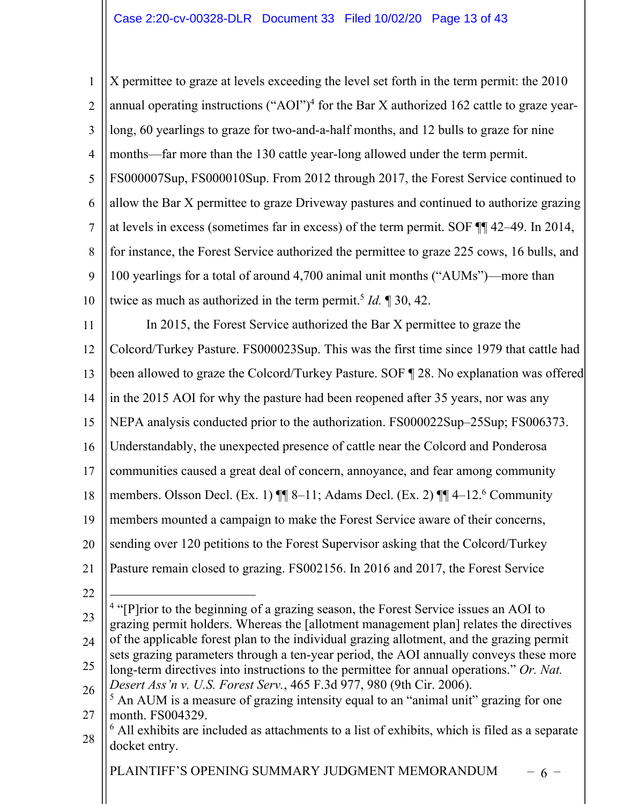PLAINTIFF'S OPENING SUMMARY JUDGMENT MEMORANDUM  $-6$  – 1 2 3 4 5 6 7 8  $\mathbf Q$ 10 11 12 13 14 15 16 17 18 19 20 21 22 23 24 25 26 27 28 X permittee to graze at levels exceeding the level set forth in the term permit: the 2010 annual operating instructions ("AOI")<sup>4</sup> for the Bar X authorized 162 cattle to graze yearlong, 60 yearlings to graze for two-and-a-half months, and 12 bulls to graze for nine months—far more than the 130 cattle year-long allowed under the term permit. FS000007Sup, FS000010Sup. From 2012 through 2017, the Forest Service continued to allow the Bar X permittee to graze Driveway pastures and continued to authorize grazing at levels in excess (sometimes far in excess) of the term permit. SOF ¶¶ 42–49. In 2014, for instance, the Forest Service authorized the permittee to graze 225 cows, 16 bulls, and 100 yearlings for a total of around 4,700 animal unit months ("AUMs")—more than twice as much as authorized in the term permit.<sup>5</sup> *Id.* 1 30, 42. In 2015, the Forest Service authorized the Bar X permittee to graze the Colcord/Turkey Pasture. FS000023Sup. This was the first time since 1979 that cattle had been allowed to graze the Colcord/Turkey Pasture. SOF ¶ 28. No explanation was offered in the 2015 AOI for why the pasture had been reopened after 35 years, nor was any NEPA analysis conducted prior to the authorization. FS000022Sup–25Sup; FS006373. Understandably, the unexpected presence of cattle near the Colcord and Ponderosa communities caused a great deal of concern, annoyance, and fear among community members. Olsson Decl. (Ex. 1) ¶¶ 8–11; Adams Decl. (Ex. 2) ¶¶ 4–12.6 Community members mounted a campaign to make the Forest Service aware of their concerns, sending over 120 petitions to the Forest Supervisor asking that the Colcord/Turkey Pasture remain closed to grazing. FS002156. In 2016 and 2017, the Forest Service <sup>4</sup> "[P]rior to the beginning of a grazing season, the Forest Service issues an AOI to grazing permit holders. Whereas the [allotment management plan] relates the directives of the applicable forest plan to the individual grazing allotment, and the grazing permit sets grazing parameters through a ten-year period, the AOI annually conveys these more long-term directives into instructions to the permittee for annual operations." *Or. Nat. Desert Ass'n v. U.S. Forest Serv.*, 465 F.3d 977, 980 (9th Cir. 2006). <sup>5</sup> An AUM is a measure of grazing intensity equal to an "animal unit" grazing for one month. FS004329.  $6$  All exhibits are included as attachments to a list of exhibits, which is filed as a separate docket entry.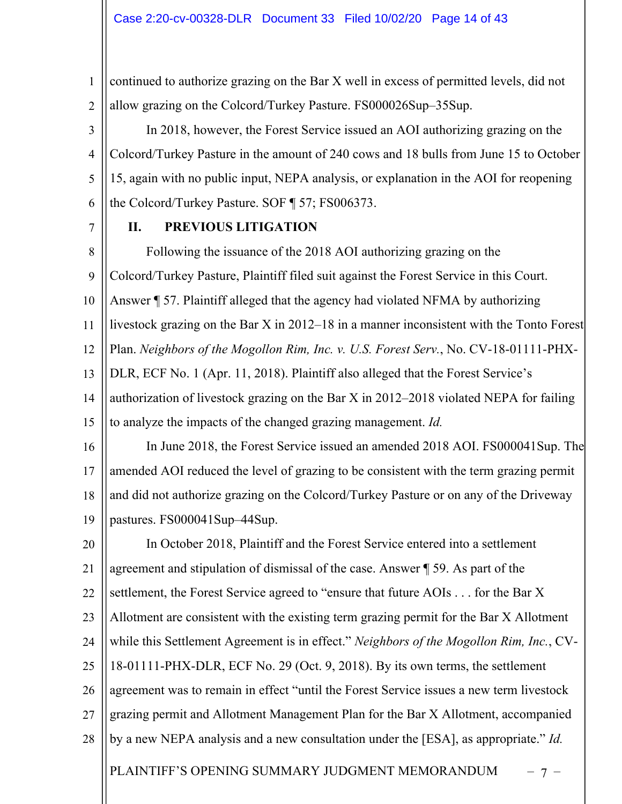1 2 continued to authorize grazing on the Bar X well in excess of permitted levels, did not allow grazing on the Colcord/Turkey Pasture. FS000026Sup–35Sup.

3 4 5 6 In 2018, however, the Forest Service issued an AOI authorizing grazing on the Colcord/Turkey Pasture in the amount of 240 cows and 18 bulls from June 15 to October 15, again with no public input, NEPA analysis, or explanation in the AOI for reopening the Colcord/Turkey Pasture. SOF ¶ 57; FS006373.

7

## **II. PREVIOUS LITIGATION**

8  $\mathbf Q$ 10 11 12 13 14 15 Following the issuance of the 2018 AOI authorizing grazing on the Colcord/Turkey Pasture, Plaintiff filed suit against the Forest Service in this Court. Answer ¶ 57. Plaintiff alleged that the agency had violated NFMA by authorizing livestock grazing on the Bar X in 2012–18 in a manner inconsistent with the Tonto Forest Plan. *Neighbors of the Mogollon Rim, Inc. v. U.S. Forest Serv.*, No. CV-18-01111-PHX-DLR, ECF No. 1 (Apr. 11, 2018). Plaintiff also alleged that the Forest Service's authorization of livestock grazing on the Bar X in 2012–2018 violated NEPA for failing to analyze the impacts of the changed grazing management. *Id.*

16 17 18 19 In June 2018, the Forest Service issued an amended 2018 AOI. FS000041Sup. The amended AOI reduced the level of grazing to be consistent with the term grazing permit and did not authorize grazing on the Colcord/Turkey Pasture or on any of the Driveway pastures. FS000041Sup–44Sup.

20 21 22 23 24 25 26 27 28 In October 2018, Plaintiff and the Forest Service entered into a settlement agreement and stipulation of dismissal of the case. Answer ¶ 59. As part of the settlement, the Forest Service agreed to "ensure that future AOIs . . . for the Bar X Allotment are consistent with the existing term grazing permit for the Bar X Allotment while this Settlement Agreement is in effect." *Neighbors of the Mogollon Rim, Inc.*, CV-18-01111-PHX-DLR, ECF No. 29 (Oct. 9, 2018). By its own terms, the settlement agreement was to remain in effect "until the Forest Service issues a new term livestock grazing permit and Allotment Management Plan for the Bar X Allotment, accompanied by a new NEPA analysis and a new consultation under the [ESA], as appropriate." *Id.*

PLAINTIFF'S OPENING SUMMARY JUDGMENT MEMORANDUM – 7 –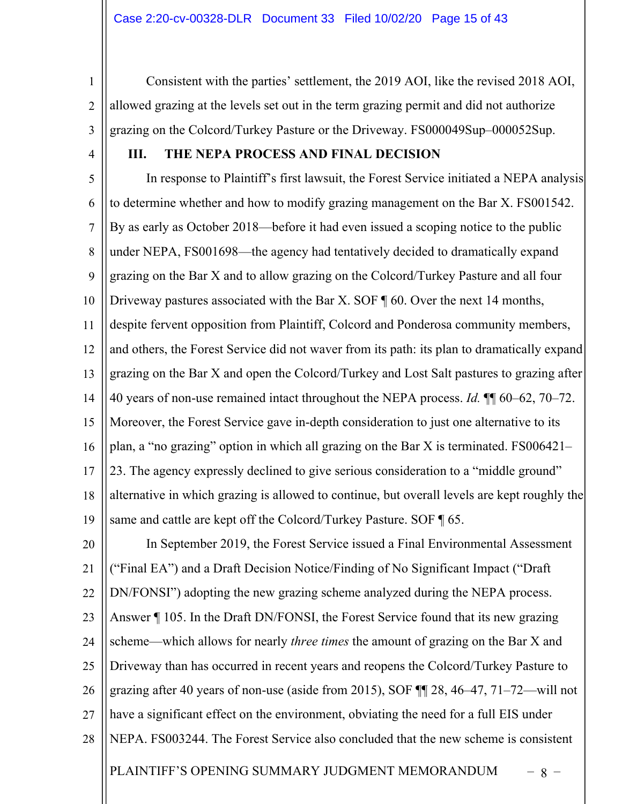1 2 3 Consistent with the parties' settlement, the 2019 AOI, like the revised 2018 AOI, allowed grazing at the levels set out in the term grazing permit and did not authorize grazing on the Colcord/Turkey Pasture or the Driveway. FS000049Sup–000052Sup.

4

## **III. THE NEPA PROCESS AND FINAL DECISION**

5 6 7 8 9 10 11 12 13 14 15 16 17 18 19 In response to Plaintiff's first lawsuit, the Forest Service initiated a NEPA analysis to determine whether and how to modify grazing management on the Bar X. FS001542. By as early as October 2018—before it had even issued a scoping notice to the public under NEPA, FS001698—the agency had tentatively decided to dramatically expand grazing on the Bar X and to allow grazing on the Colcord/Turkey Pasture and all four Driveway pastures associated with the Bar X. SOF  $\P$  60. Over the next 14 months, despite fervent opposition from Plaintiff, Colcord and Ponderosa community members, and others, the Forest Service did not waver from its path: its plan to dramatically expand grazing on the Bar X and open the Colcord/Turkey and Lost Salt pastures to grazing after 40 years of non-use remained intact throughout the NEPA process. *Id.* ¶¶ 60–62, 70–72. Moreover, the Forest Service gave in-depth consideration to just one alternative to its plan, a "no grazing" option in which all grazing on the Bar X is terminated. FS006421– 23. The agency expressly declined to give serious consideration to a "middle ground" alternative in which grazing is allowed to continue, but overall levels are kept roughly the same and cattle are kept off the Colcord/Turkey Pasture. SOF 165.

PLAINTIFF'S OPENING SUMMARY JUDGMENT MEMORANDUM – 8 – 20 21 22 23 24 25 26 27 28 In September 2019, the Forest Service issued a Final Environmental Assessment ("Final EA") and a Draft Decision Notice/Finding of No Significant Impact ("Draft DN/FONSI") adopting the new grazing scheme analyzed during the NEPA process. Answer ¶ 105. In the Draft DN/FONSI, the Forest Service found that its new grazing scheme—which allows for nearly *three times* the amount of grazing on the Bar X and Driveway than has occurred in recent years and reopens the Colcord/Turkey Pasture to grazing after 40 years of non-use (aside from 2015), SOF ¶¶ 28, 46–47, 71–72—will not have a significant effect on the environment, obviating the need for a full EIS under NEPA. FS003244. The Forest Service also concluded that the new scheme is consistent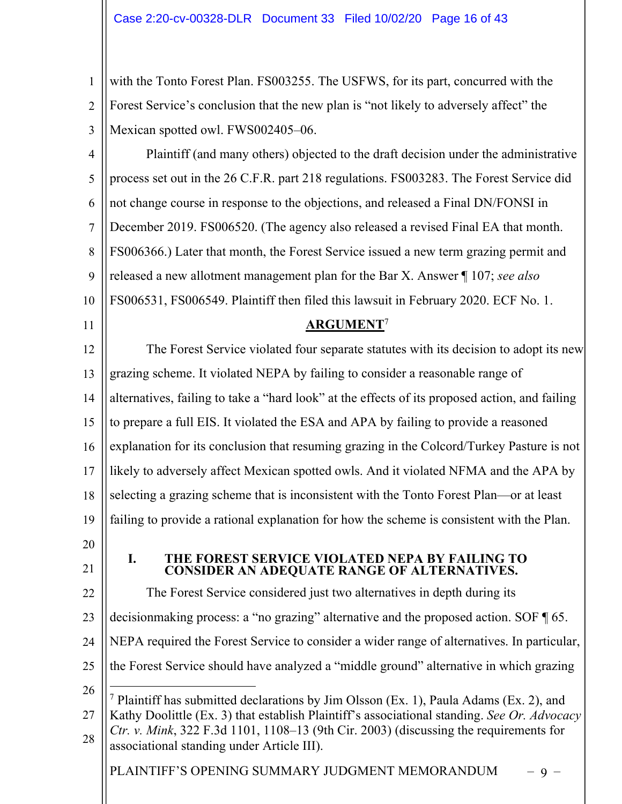1 2 3 with the Tonto Forest Plan. FS003255. The USFWS, for its part, concurred with the Forest Service's conclusion that the new plan is "not likely to adversely affect" the Mexican spotted owl. FWS002405–06.

- 4 5 6 7 8  $\mathbf Q$ 10 Plaintiff (and many others) objected to the draft decision under the administrative process set out in the 26 C.F.R. part 218 regulations. FS003283. The Forest Service did not change course in response to the objections, and released a Final DN/FONSI in December 2019. FS006520. (The agency also released a revised Final EA that month. FS006366.) Later that month, the Forest Service issued a new term grazing permit and released a new allotment management plan for the Bar X. Answer ¶ 107; *see also*  FS006531, FS006549. Plaintiff then filed this lawsuit in February 2020. ECF No. 1.
- 11

## **ARGUMENT**<sup>7</sup>

12 13 14 15 16 17 18 19 20 21 22 23 The Forest Service violated four separate statutes with its decision to adopt its new grazing scheme. It violated NEPA by failing to consider a reasonable range of alternatives, failing to take a "hard look" at the effects of its proposed action, and failing to prepare a full EIS. It violated the ESA and APA by failing to provide a reasoned explanation for its conclusion that resuming grazing in the Colcord/Turkey Pasture is not likely to adversely affect Mexican spotted owls. And it violated NFMA and the APA by selecting a grazing scheme that is inconsistent with the Tonto Forest Plan—or at least failing to provide a rational explanation for how the scheme is consistent with the Plan. **I. THE FOREST SERVICE VIOLATED NEPA BY FAILING TO CONSIDER AN ADEQUATE RANGE OF ALTERNATIVES.** The Forest Service considered just two alternatives in depth during its decisionmaking process: a "no grazing" alternative and the proposed action. SOF ¶ 65.

- 24 NEPA required the Forest Service to consider a wider range of alternatives. In particular,
- 25 the Forest Service should have analyzed a "middle ground" alternative in which grazing
- 26 27 28 <sup>7</sup> Plaintiff has submitted declarations by Jim Olsson (Ex. 1), Paula Adams (Ex. 2), and Kathy Doolittle (Ex. 3) that establish Plaintiff's associational standing. *See Or. Advocacy Ctr. v. Mink*, 322 F.3d 1101, 1108–13 (9th Cir. 2003) (discussing the requirements for associational standing under Article III).

PLAINTIFF'S OPENING SUMMARY JUDGMENT MEMORANDUM – 9 –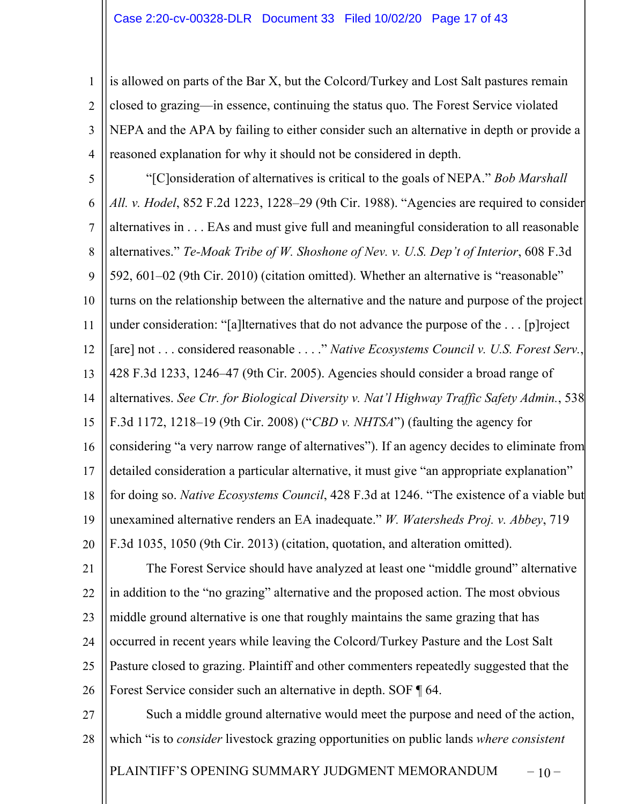1 2 3 4 is allowed on parts of the Bar X, but the Colcord/Turkey and Lost Salt pastures remain closed to grazing—in essence, continuing the status quo. The Forest Service violated NEPA and the APA by failing to either consider such an alternative in depth or provide a reasoned explanation for why it should not be considered in depth.

5 6 7 8  $\mathbf Q$ 10 11 12 13 14 15 16 17 18 19 20 "[C]onsideration of alternatives is critical to the goals of NEPA." *Bob Marshall All. v. Hodel*, 852 F.2d 1223, 1228–29 (9th Cir. 1988). "Agencies are required to consider alternatives in . . . EAs and must give full and meaningful consideration to all reasonable alternatives." *Te-Moak Tribe of W. Shoshone of Nev. v. U.S. Dep't of Interior*, 608 F.3d 592, 601–02 (9th Cir. 2010) (citation omitted). Whether an alternative is "reasonable" turns on the relationship between the alternative and the nature and purpose of the project under consideration: "[a]lternatives that do not advance the purpose of the . . . [p]roject [are] not . . . considered reasonable . . . ." *Native Ecosystems Council v. U.S. Forest Serv.*, 428 F.3d 1233, 1246–47 (9th Cir. 2005). Agencies should consider a broad range of alternatives. *See Ctr. for Biological Diversity v. Nat'l Highway Traffic Safety Admin.*, 538 F.3d 1172, 1218–19 (9th Cir. 2008) ("*CBD v. NHTSA*") (faulting the agency for considering "a very narrow range of alternatives"). If an agency decides to eliminate from detailed consideration a particular alternative, it must give "an appropriate explanation" for doing so. *Native Ecosystems Council*, 428 F.3d at 1246. "The existence of a viable but unexamined alternative renders an EA inadequate." *W. Watersheds Proj. v. Abbey*, 719 F.3d 1035, 1050 (9th Cir. 2013) (citation, quotation, and alteration omitted).

21 22 23 24 25 26 The Forest Service should have analyzed at least one "middle ground" alternative in addition to the "no grazing" alternative and the proposed action. The most obvious middle ground alternative is one that roughly maintains the same grazing that has occurred in recent years while leaving the Colcord/Turkey Pasture and the Lost Salt Pasture closed to grazing. Plaintiff and other commenters repeatedly suggested that the Forest Service consider such an alternative in depth. SOF ¶ 64.

27 28 Such a middle ground alternative would meet the purpose and need of the action, which "is to *consider* livestock grazing opportunities on public lands *where consistent* 

PLAINTIFF'S OPENING SUMMARY JUDGMENT MEMORANDUM – 10 –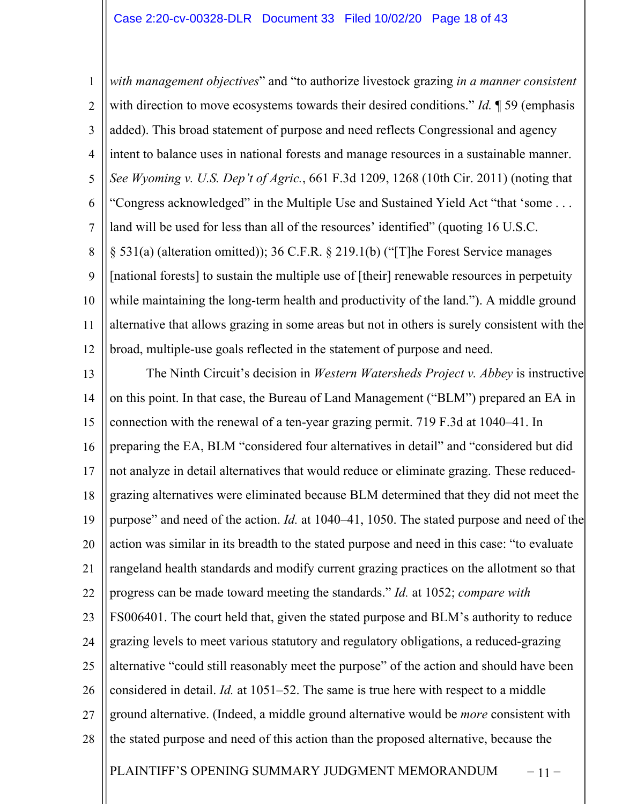1 2 3 4 5 6 7 8  $\mathbf Q$ 10 11 12 *with management objectives*" and "to authorize livestock grazing *in a manner consistent* with direction to move ecosystems towards their desired conditions." *Id.* ¶ 59 (emphasis added). This broad statement of purpose and need reflects Congressional and agency intent to balance uses in national forests and manage resources in a sustainable manner. *See Wyoming v. U.S. Dep't of Agric.*, 661 F.3d 1209, 1268 (10th Cir. 2011) (noting that "Congress acknowledged" in the Multiple Use and Sustained Yield Act "that 'some . . . land will be used for less than all of the resources' identified" (quoting 16 U.S.C. § 531(a) (alteration omitted)); 36 C.F.R. § 219.1(b) ("[T]he Forest Service manages [national forests] to sustain the multiple use of [their] renewable resources in perpetuity while maintaining the long-term health and productivity of the land."). A middle ground alternative that allows grazing in some areas but not in others is surely consistent with the broad, multiple-use goals reflected in the statement of purpose and need.

PLAINTIFF'S OPENING SUMMARY JUDGMENT MEMORANDUM – 11 – 13 14 15 16 17 18 19 20 21 22 23 24 25 26 27 28 The Ninth Circuit's decision in *Western Watersheds Project v. Abbey* is instructive on this point. In that case, the Bureau of Land Management ("BLM") prepared an EA in connection with the renewal of a ten-year grazing permit. 719 F.3d at 1040–41. In preparing the EA, BLM "considered four alternatives in detail" and "considered but did not analyze in detail alternatives that would reduce or eliminate grazing. These reducedgrazing alternatives were eliminated because BLM determined that they did not meet the purpose" and need of the action. *Id.* at 1040–41, 1050. The stated purpose and need of the action was similar in its breadth to the stated purpose and need in this case: "to evaluate rangeland health standards and modify current grazing practices on the allotment so that progress can be made toward meeting the standards." *Id.* at 1052; *compare with* FS006401. The court held that, given the stated purpose and BLM's authority to reduce grazing levels to meet various statutory and regulatory obligations, a reduced-grazing alternative "could still reasonably meet the purpose" of the action and should have been considered in detail. *Id.* at 1051–52. The same is true here with respect to a middle ground alternative. (Indeed, a middle ground alternative would be *more* consistent with the stated purpose and need of this action than the proposed alternative, because the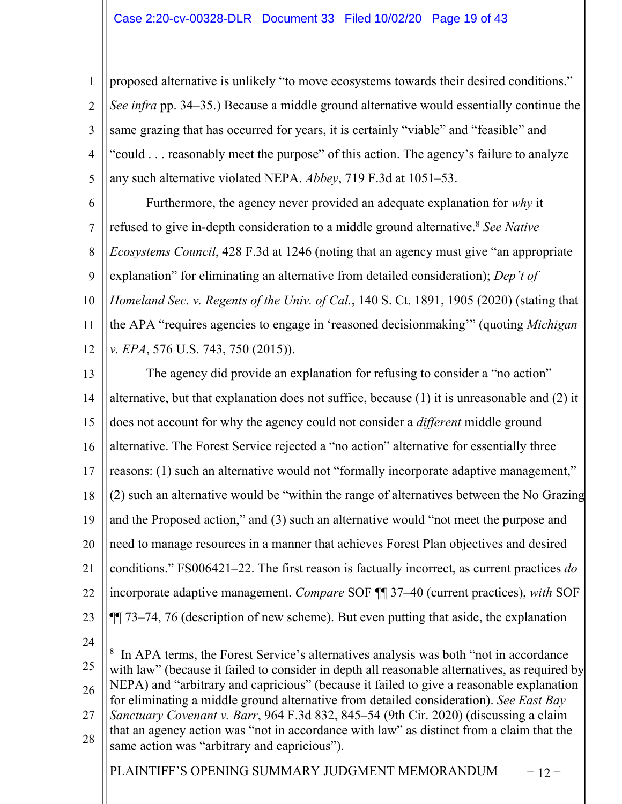1 2 3 4 5 proposed alternative is unlikely "to move ecosystems towards their desired conditions." *See infra* pp. 34–35.) Because a middle ground alternative would essentially continue the same grazing that has occurred for years, it is certainly "viable" and "feasible" and "could . . . reasonably meet the purpose" of this action. The agency's failure to analyze any such alternative violated NEPA. *Abbey*, 719 F.3d at 1051–53.

6 7 8  $\mathbf Q$ 10 11 12 Furthermore, the agency never provided an adequate explanation for *why* it refused to give in-depth consideration to a middle ground alternative.8 *See Native Ecosystems Council*, 428 F.3d at 1246 (noting that an agency must give "an appropriate explanation" for eliminating an alternative from detailed consideration); *Dep't of Homeland Sec. v. Regents of the Univ. of Cal.*, 140 S. Ct. 1891, 1905 (2020) (stating that the APA "requires agencies to engage in 'reasoned decisionmaking'" (quoting *Michigan v. EPA*, 576 U.S. 743, 750 (2015)).

13 14 15 16 17 18 19 20 21 22 23 The agency did provide an explanation for refusing to consider a "no action" alternative, but that explanation does not suffice, because (1) it is unreasonable and (2) it does not account for why the agency could not consider a *different* middle ground alternative. The Forest Service rejected a "no action" alternative for essentially three reasons: (1) such an alternative would not "formally incorporate adaptive management," (2) such an alternative would be "within the range of alternatives between the No Grazing and the Proposed action," and (3) such an alternative would "not meet the purpose and need to manage resources in a manner that achieves Forest Plan objectives and desired conditions." FS006421–22. The first reason is factually incorrect, as current practices *do* incorporate adaptive management. *Compare* SOF ¶¶ 37–40 (current practices), *with* SOF ¶¶ 73–74, 76 (description of new scheme). But even putting that aside, the explanation

24

28

25 26 27 <sup>8</sup> In APA terms, the Forest Service's alternatives analysis was both "not in accordance with law" (because it failed to consider in depth all reasonable alternatives, as required by NEPA) and "arbitrary and capricious" (because it failed to give a reasonable explanation for eliminating a middle ground alternative from detailed consideration). *See East Bay Sanctuary Covenant v. Barr*, 964 F.3d 832, 845–54 (9th Cir. 2020) (discussing a claim that an agency action was "not in accordance with law" as distinct from a claim that the

PLAINTIFF'S OPENING SUMMARY JUDGMENT MEMORANDUM  $-12$ 

same action was "arbitrary and capricious").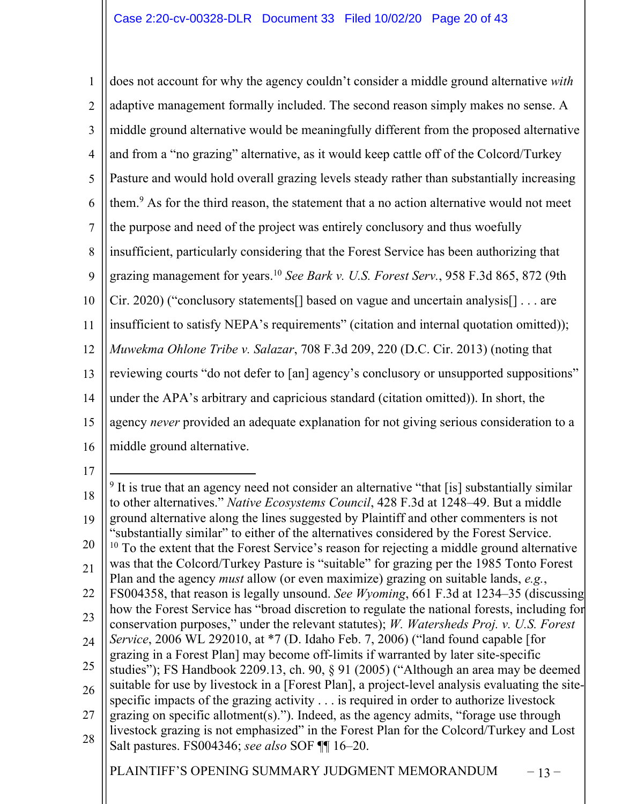1 2 3 4 5 6 7 8  $\overline{Q}$ 10 11 12 13 14 15 16 does not account for why the agency couldn't consider a middle ground alternative *with* adaptive management formally included. The second reason simply makes no sense. A middle ground alternative would be meaningfully different from the proposed alternative and from a "no grazing" alternative, as it would keep cattle off of the Colcord/Turkey Pasture and would hold overall grazing levels steady rather than substantially increasing them.<sup>9</sup> As for the third reason, the statement that a no action alternative would not meet the purpose and need of the project was entirely conclusory and thus woefully insufficient, particularly considering that the Forest Service has been authorizing that grazing management for years. <sup>10</sup> *See Bark v. U.S. Forest Serv.*, 958 F.3d 865, 872 (9th Cir. 2020) ("conclusory statements[] based on vague and uncertain analysis[] . . . are insufficient to satisfy NEPA's requirements" (citation and internal quotation omitted)); *Muwekma Ohlone Tribe v. Salazar*, 708 F.3d 209, 220 (D.C. Cir. 2013) (noting that reviewing courts "do not defer to [an] agency's conclusory or unsupported suppositions" under the APA's arbitrary and capricious standard (citation omitted)). In short, the agency *never* provided an adequate explanation for not giving serious consideration to a middle ground alternative.

17

PLAINTIFF'S OPENING SUMMARY JUDGMENT MEMORANDUM – 13-

<sup>18</sup> 19 20 21 22 23 24 25 26 27 28  $9$  It is true that an agency need not consider an alternative "that [is] substantially similar to other alternatives." *Native Ecosystems Council*, 428 F.3d at 1248–49. But a middle ground alternative along the lines suggested by Plaintiff and other commenters is not "substantially similar" to either of the alternatives considered by the Forest Service.  $10$  To the extent that the Forest Service's reason for rejecting a middle ground alternative was that the Colcord/Turkey Pasture is "suitable" for grazing per the 1985 Tonto Forest Plan and the agency *must* allow (or even maximize) grazing on suitable lands, *e.g.*, FS004358, that reason is legally unsound. *See Wyoming*, 661 F.3d at 1234–35 (discussing how the Forest Service has "broad discretion to regulate the national forests, including for conservation purposes," under the relevant statutes); *W. Watersheds Proj. v. U.S. Forest Service*, 2006 WL 292010, at \*7 (D. Idaho Feb. 7, 2006) ("land found capable [for grazing in a Forest Plan] may become off-limits if warranted by later site-specific studies"); FS Handbook 2209.13, ch. 90, § 91 (2005) ("Although an area may be deemed suitable for use by livestock in a [Forest Plan], a project-level analysis evaluating the sitespecific impacts of the grazing activity . . . is required in order to authorize livestock grazing on specific allotment(s)."). Indeed, as the agency admits, "forage use through livestock grazing is not emphasized" in the Forest Plan for the Colcord/Turkey and Lost Salt pastures. FS004346; *see also* SOF ¶¶ 16–20.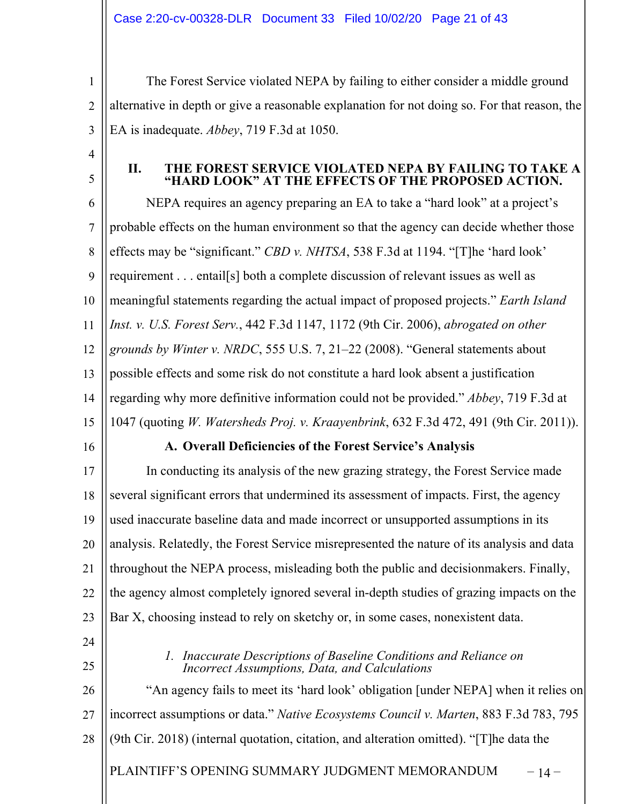1 2 3 The Forest Service violated NEPA by failing to either consider a middle ground alternative in depth or give a reasonable explanation for not doing so. For that reason, the EA is inadequate. *Abbey*, 719 F.3d at 1050.

4

5

## **II. THE FOREST SERVICE VIOLATED NEPA BY FAILING TO TAKE A "HARD LOOK" AT THE EFFECTS OF THE PROPOSED ACTION.**

6 7 8 9 10 11 12 13 14 15 NEPA requires an agency preparing an EA to take a "hard look" at a project's probable effects on the human environment so that the agency can decide whether those effects may be "significant." *CBD v. NHTSA*, 538 F.3d at 1194. "[T]he 'hard look' requirement . . . entail[s] both a complete discussion of relevant issues as well as meaningful statements regarding the actual impact of proposed projects." *Earth Island Inst. v. U.S. Forest Serv.*, 442 F.3d 1147, 1172 (9th Cir. 2006), *abrogated on other grounds by Winter v. NRDC*, 555 U.S. 7, 21–22 (2008). "General statements about possible effects and some risk do not constitute a hard look absent a justification regarding why more definitive information could not be provided." *Abbey*, 719 F.3d at 1047 (quoting *W. Watersheds Proj. v. Kraayenbrink*, 632 F.3d 472, 491 (9th Cir. 2011)).

16

## **A. Overall Deficiencies of the Forest Service's Analysis**

17 18 19 20 21 22 23 In conducting its analysis of the new grazing strategy, the Forest Service made several significant errors that undermined its assessment of impacts. First, the agency used inaccurate baseline data and made incorrect or unsupported assumptions in its analysis. Relatedly, the Forest Service misrepresented the nature of its analysis and data throughout the NEPA process, misleading both the public and decisionmakers. Finally, the agency almost completely ignored several in-depth studies of grazing impacts on the Bar X, choosing instead to rely on sketchy or, in some cases, nonexistent data.

24

25

*1. Inaccurate Descriptions of Baseline Conditions and Reliance on Incorrect Assumptions, Data, and Calculations*

PLAINTIFF'S OPENING SUMMARY JUDGMENT MEMORANDUM – 14 – 26 27 28 "An agency fails to meet its 'hard look' obligation [under NEPA] when it relies on incorrect assumptions or data." *Native Ecosystems Council v. Marten*, 883 F.3d 783, 795 (9th Cir. 2018) (internal quotation, citation, and alteration omitted). "[T]he data the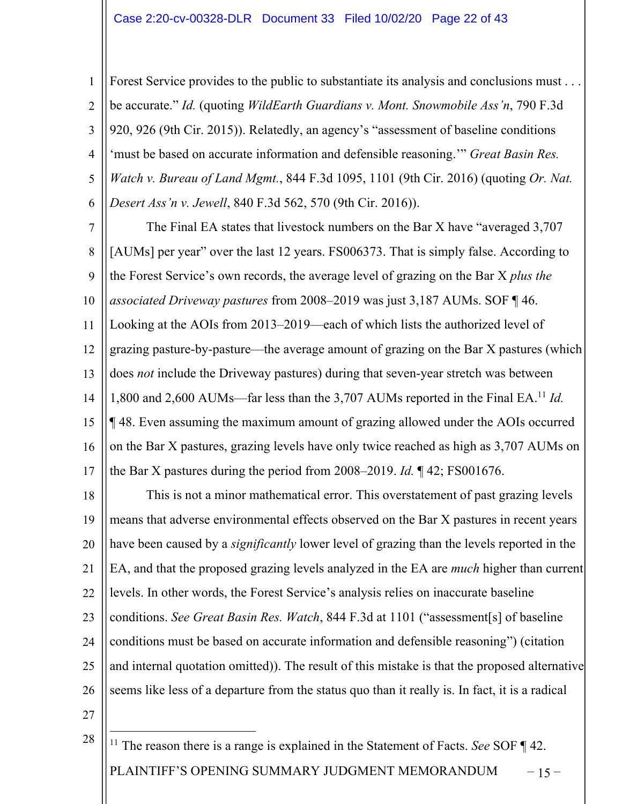#### Case 2:20-cv-00328-DLR Document 33 Filed 10/02/20 Page 22 of 43

1 2 3 4 5 6 Forest Service provides to the public to substantiate its analysis and conclusions must . . . be accurate." *Id.* (quoting *WildEarth Guardians v. Mont. Snowmobile Ass'n*, 790 F.3d 920, 926 (9th Cir. 2015)). Relatedly, an agency's "assessment of baseline conditions 'must be based on accurate information and defensible reasoning.'" *Great Basin Res. Watch v. Bureau of Land Mgmt.*, 844 F.3d 1095, 1101 (9th Cir. 2016) (quoting *Or. Nat. Desert Ass'n v. Jewell*, 840 F.3d 562, 570 (9th Cir. 2016)).

7 8  $\mathbf Q$ 10 11  $12$ 13 14 15 16 17 The Final EA states that livestock numbers on the Bar X have "averaged 3,707 [AUMs] per year" over the last 12 years. FS006373. That is simply false. According to the Forest Service's own records, the average level of grazing on the Bar X *plus the associated Driveway pastures* from 2008–2019 was just 3,187 AUMs. SOF ¶ 46. Looking at the AOIs from 2013–2019—each of which lists the authorized level of grazing pasture-by-pasture—the average amount of grazing on the Bar X pastures (which does *not* include the Driveway pastures) during that seven-year stretch was between 1,800 and 2,600 AUMs—far less than the 3,707 AUMs reported in the Final EA.11 *Id.* ¶ 48. Even assuming the maximum amount of grazing allowed under the AOIs occurred on the Bar X pastures, grazing levels have only twice reached as high as 3,707 AUMs on the Bar X pastures during the period from 2008–2019. *Id.* ¶ 42; FS001676.

18 19 20 21 22 23 24 25 26 This is not a minor mathematical error. This overstatement of past grazing levels means that adverse environmental effects observed on the Bar X pastures in recent years have been caused by a *significantly* lower level of grazing than the levels reported in the EA, and that the proposed grazing levels analyzed in the EA are *much* higher than current levels. In other words, the Forest Service's analysis relies on inaccurate baseline conditions. *See Great Basin Res. Watch*, 844 F.3d at 1101 ("assessment[s] of baseline conditions must be based on accurate information and defensible reasoning") (citation and internal quotation omitted)). The result of this mistake is that the proposed alternative seems like less of a departure from the status quo than it really is. In fact, it is a radical

27

PLAINTIFF'S OPENING SUMMARY JUDGMENT MEMORANDUM – 15 – 28 <sup>11</sup> The reason there is a range is explained in the Statement of Facts. *See* SOF ¶ 42.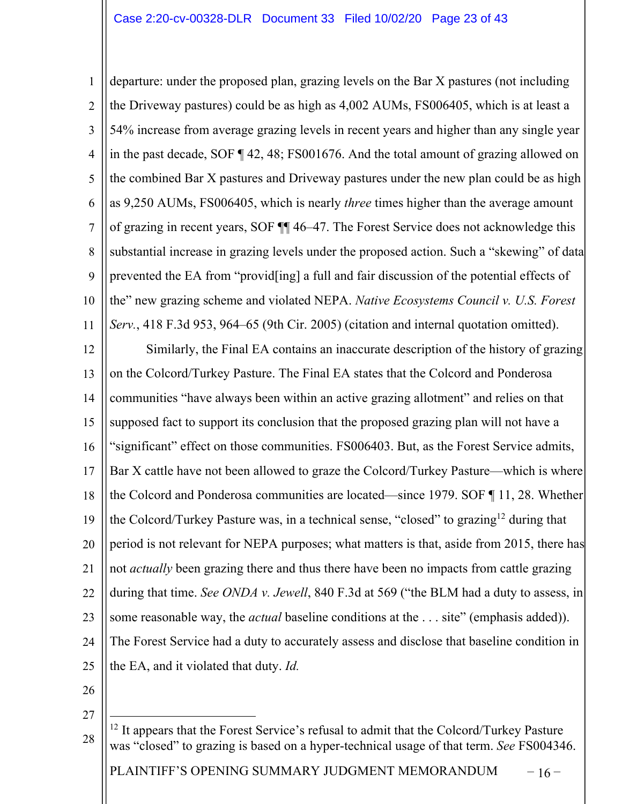1 2 3 4 5 6 7 8 9 10 11 12 13 14 15 16 17 18 19 20 21 22 23 departure: under the proposed plan, grazing levels on the Bar X pastures (not including the Driveway pastures) could be as high as 4,002 AUMs, FS006405, which is at least a 54% increase from average grazing levels in recent years and higher than any single year in the past decade, SOF ¶ 42, 48; FS001676. And the total amount of grazing allowed on the combined Bar X pastures and Driveway pastures under the new plan could be as high as 9,250 AUMs, FS006405, which is nearly *three* times higher than the average amount of grazing in recent years, SOF ¶¶ 46–47. The Forest Service does not acknowledge this substantial increase in grazing levels under the proposed action. Such a "skewing" of data prevented the EA from "provid[ing] a full and fair discussion of the potential effects of the" new grazing scheme and violated NEPA. *Native Ecosystems Council v. U.S. Forest Serv.*, 418 F.3d 953, 964–65 (9th Cir. 2005) (citation and internal quotation omitted). Similarly, the Final EA contains an inaccurate description of the history of grazing on the Colcord/Turkey Pasture. The Final EA states that the Colcord and Ponderosa communities "have always been within an active grazing allotment" and relies on that supposed fact to support its conclusion that the proposed grazing plan will not have a "significant" effect on those communities. FS006403. But, as the Forest Service admits, Bar X cattle have not been allowed to graze the Colcord/Turkey Pasture—which is where the Colcord and Ponderosa communities are located—since 1979. SOF ¶ 11, 28. Whether the Colcord/Turkey Pasture was, in a technical sense, "closed" to grazing<sup>12</sup> during that period is not relevant for NEPA purposes; what matters is that, aside from 2015, there has not *actually* been grazing there and thus there have been no impacts from cattle grazing during that time. *See ONDA v. Jewell*, 840 F.3d at 569 ("the BLM had a duty to assess, in some reasonable way, the *actual* baseline conditions at the . . . site" (emphasis added)).

25

the EA, and it violated that duty. *Id.*

24

- 26
- 27

The Forest Service had a duty to accurately assess and disclose that baseline condition in

PLAINTIFF'S OPENING SUMMARY JUDGMENT MEMORANDUM  $-16$  –

<sup>28</sup>  $12$  It appears that the Forest Service's refusal to admit that the Colcord/Turkey Pasture was "closed" to grazing is based on a hyper-technical usage of that term. *See* FS004346.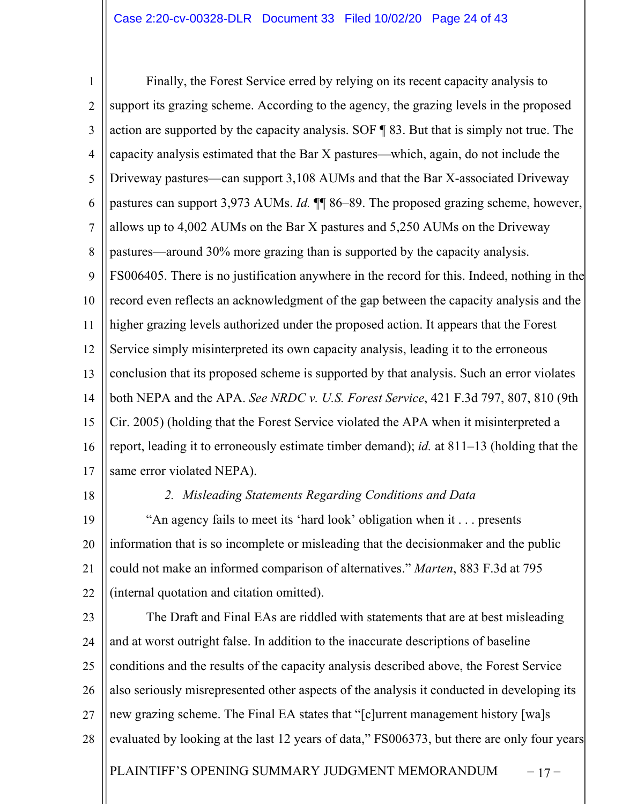## Case 2:20-cv-00328-DLR Document 33 Filed 10/02/20 Page 24 of 43

1 2 3 4 5 6 7 8  $\mathbf Q$ 10 11 12 13 14 15 16 17 Finally, the Forest Service erred by relying on its recent capacity analysis to support its grazing scheme. According to the agency, the grazing levels in the proposed action are supported by the capacity analysis. SOF ¶ 83. But that is simply not true. The capacity analysis estimated that the Bar X pastures—which, again, do not include the Driveway pastures—can support 3,108 AUMs and that the Bar X-associated Driveway pastures can support 3,973 AUMs. *Id.* ¶¶ 86–89. The proposed grazing scheme, however, allows up to 4,002 AUMs on the Bar X pastures and 5,250 AUMs on the Driveway pastures—around 30% more grazing than is supported by the capacity analysis. FS006405. There is no justification anywhere in the record for this. Indeed, nothing in the record even reflects an acknowledgment of the gap between the capacity analysis and the higher grazing levels authorized under the proposed action. It appears that the Forest Service simply misinterpreted its own capacity analysis, leading it to the erroneous conclusion that its proposed scheme is supported by that analysis. Such an error violates both NEPA and the APA. *See NRDC v. U.S. Forest Service*, 421 F.3d 797, 807, 810 (9th Cir. 2005) (holding that the Forest Service violated the APA when it misinterpreted a report, leading it to erroneously estimate timber demand); *id.* at 811–13 (holding that the same error violated NEPA).

18

#### *2. Misleading Statements Regarding Conditions and Data*

19 20 21 22 "An agency fails to meet its 'hard look' obligation when it . . . presents information that is so incomplete or misleading that the decisionmaker and the public could not make an informed comparison of alternatives." *Marten*, 883 F.3d at 795 (internal quotation and citation omitted).

PLAINTIFF'S OPENING SUMMARY JUDGMENT MEMORANDUM – 17 – 23 24 25 26 27 28 The Draft and Final EAs are riddled with statements that are at best misleading and at worst outright false. In addition to the inaccurate descriptions of baseline conditions and the results of the capacity analysis described above, the Forest Service also seriously misrepresented other aspects of the analysis it conducted in developing its new grazing scheme. The Final EA states that "[c]urrent management history [wa]s evaluated by looking at the last 12 years of data," FS006373, but there are only four years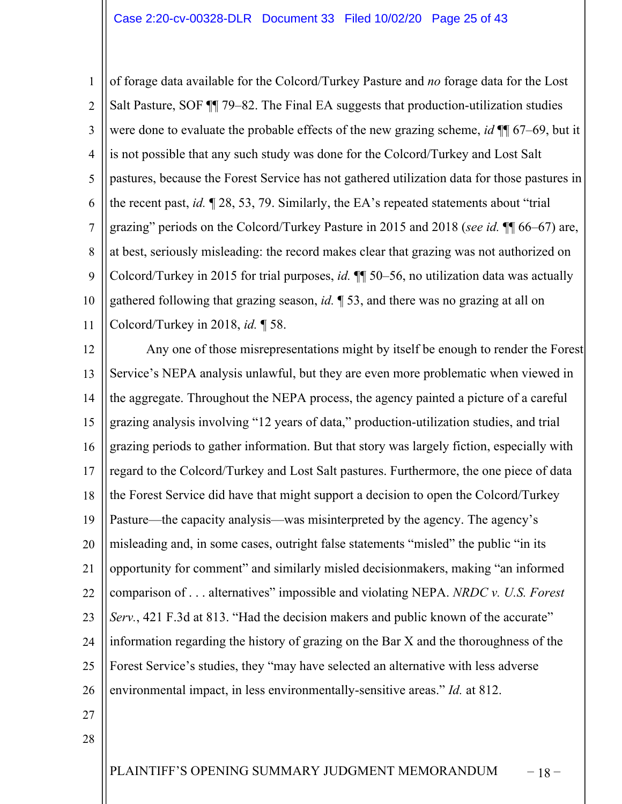1 2 3 4 5 6 7 8 9 10 11 of forage data available for the Colcord/Turkey Pasture and *no* forage data for the Lost Salt Pasture, SOF ¶¶ 79–82. The Final EA suggests that production-utilization studies were done to evaluate the probable effects of the new grazing scheme, *id* ¶¶ 67–69, but it is not possible that any such study was done for the Colcord/Turkey and Lost Salt pastures, because the Forest Service has not gathered utilization data for those pastures in the recent past, *id.* ¶ 28, 53, 79. Similarly, the EA's repeated statements about "trial grazing" periods on the Colcord/Turkey Pasture in 2015 and 2018 (*see id.* ¶¶ 66–67) are, at best, seriously misleading: the record makes clear that grazing was not authorized on Colcord/Turkey in 2015 for trial purposes, *id.* ¶¶ 50–56, no utilization data was actually gathered following that grazing season, *id.* ¶ 53, and there was no grazing at all on Colcord/Turkey in 2018, *id.* ¶ 58.

12 13 14 15 16 17 18 19 20 21 22 23 24 25 26 Any one of those misrepresentations might by itself be enough to render the Forest Service's NEPA analysis unlawful, but they are even more problematic when viewed in the aggregate. Throughout the NEPA process, the agency painted a picture of a careful grazing analysis involving "12 years of data," production-utilization studies, and trial grazing periods to gather information. But that story was largely fiction, especially with regard to the Colcord/Turkey and Lost Salt pastures. Furthermore, the one piece of data the Forest Service did have that might support a decision to open the Colcord/Turkey Pasture—the capacity analysis—was misinterpreted by the agency. The agency's misleading and, in some cases, outright false statements "misled" the public "in its opportunity for comment" and similarly misled decisionmakers, making "an informed comparison of . . . alternatives" impossible and violating NEPA. *NRDC v. U.S. Forest Serv.*, 421 F.3d at 813. "Had the decision makers and public known of the accurate" information regarding the history of grazing on the Bar X and the thoroughness of the Forest Service's studies, they "may have selected an alternative with less adverse environmental impact, in less environmentally-sensitive areas." *Id.* at 812.

- 27
- 28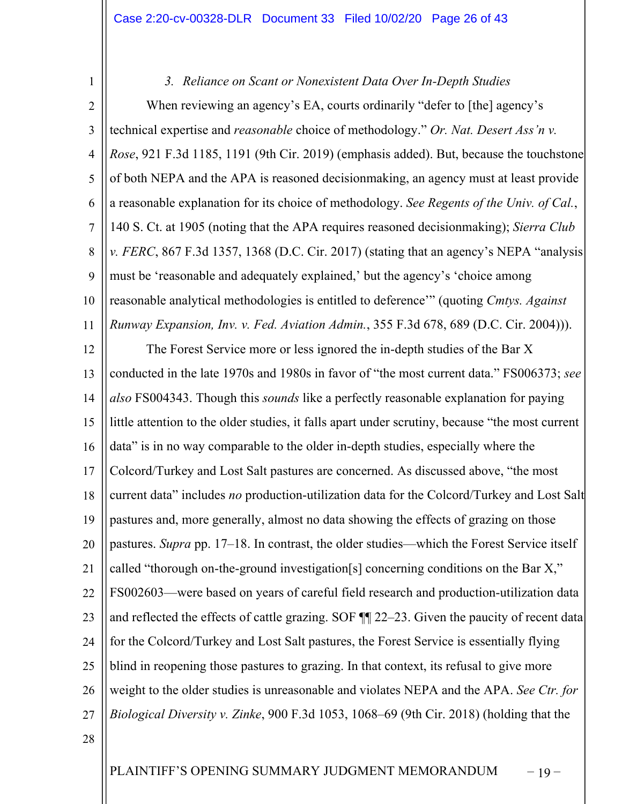*3. Reliance on Scant or Nonexistent Data Over In-Depth Studies*

2 3 4 5 6 7 8  $\mathbf Q$ 10 11 When reviewing an agency's EA, courts ordinarily "defer to [the] agency's technical expertise and *reasonable* choice of methodology." *Or. Nat. Desert Ass'n v. Rose*, 921 F.3d 1185, 1191 (9th Cir. 2019) (emphasis added). But, because the touchstone of both NEPA and the APA is reasoned decisionmaking, an agency must at least provide a reasonable explanation for its choice of methodology. *See Regents of the Univ. of Cal.*, 140 S. Ct. at 1905 (noting that the APA requires reasoned decisionmaking); *Sierra Club v. FERC*, 867 F.3d 1357, 1368 (D.C. Cir. 2017) (stating that an agency's NEPA "analysis must be 'reasonable and adequately explained,' but the agency's 'choice among reasonable analytical methodologies is entitled to deference'" (quoting *Cmtys. Against Runway Expansion, Inv. v. Fed. Aviation Admin.*, 355 F.3d 678, 689 (D.C. Cir. 2004))).

12 13 14 15 16 17 18 19 20 21 22 23 24 25 26 27 The Forest Service more or less ignored the in-depth studies of the Bar X conducted in the late 1970s and 1980s in favor of "the most current data." FS006373; *see also* FS004343. Though this *sounds* like a perfectly reasonable explanation for paying little attention to the older studies, it falls apart under scrutiny, because "the most current data" is in no way comparable to the older in-depth studies, especially where the Colcord/Turkey and Lost Salt pastures are concerned. As discussed above, "the most current data" includes *no* production-utilization data for the Colcord/Turkey and Lost Salt pastures and, more generally, almost no data showing the effects of grazing on those pastures. *Supra* pp. 17–18. In contrast, the older studies—which the Forest Service itself called "thorough on-the-ground investigation[s] concerning conditions on the Bar X," FS002603—were based on years of careful field research and production-utilization data and reflected the effects of cattle grazing. SOF ¶¶ 22–23. Given the paucity of recent data for the Colcord/Turkey and Lost Salt pastures, the Forest Service is essentially flying blind in reopening those pastures to grazing. In that context, its refusal to give more weight to the older studies is unreasonable and violates NEPA and the APA. *See Ctr. for Biological Diversity v. Zinke*, 900 F.3d 1053, 1068–69 (9th Cir. 2018) (holding that the

28

1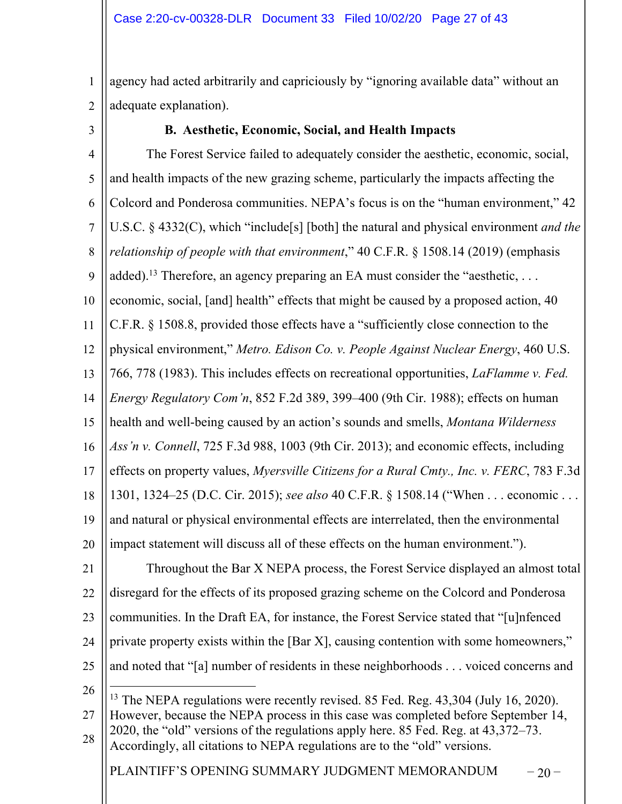1 2 agency had acted arbitrarily and capriciously by "ignoring available data" without an adequate explanation).

3

## **B. Aesthetic, Economic, Social, and Health Impacts**

PLAINTIFF'S OPENING SUMMARY JUDGMENT MEMORANDUM  $-20$ 4 5 6 7 8  $\mathbf Q$ 10 11 12 13 14 15 16 17 18 19 20 21 22 23 24 25 26 27 28 The Forest Service failed to adequately consider the aesthetic, economic, social, and health impacts of the new grazing scheme, particularly the impacts affecting the Colcord and Ponderosa communities. NEPA's focus is on the "human environment," 42 U.S.C. § 4332(C), which "include[s] [both] the natural and physical environment *and the relationship of people with that environment*," 40 C.F.R. § 1508.14 (2019) (emphasis added).<sup>13</sup> Therefore, an agency preparing an EA must consider the "aesthetic, ... economic, social, [and] health" effects that might be caused by a proposed action, 40 C.F.R. § 1508.8, provided those effects have a "sufficiently close connection to the physical environment," *Metro. Edison Co. v. People Against Nuclear Energy*, 460 U.S. 766, 778 (1983). This includes effects on recreational opportunities, *LaFlamme v. Fed. Energy Regulatory Com'n*, 852 F.2d 389, 399–400 (9th Cir. 1988); effects on human health and well-being caused by an action's sounds and smells, *Montana Wilderness Ass'n v. Connell*, 725 F.3d 988, 1003 (9th Cir. 2013); and economic effects, including effects on property values, *Myersville Citizens for a Rural Cmty., Inc. v. FERC*, 783 F.3d 1301, 1324–25 (D.C. Cir. 2015); *see also* 40 C.F.R. § 1508.14 ("When . . . economic . . . and natural or physical environmental effects are interrelated, then the environmental impact statement will discuss all of these effects on the human environment."). Throughout the Bar X NEPA process, the Forest Service displayed an almost total disregard for the effects of its proposed grazing scheme on the Colcord and Ponderosa communities. In the Draft EA, for instance, the Forest Service stated that "[u]nfenced private property exists within the [Bar X], causing contention with some homeowners," and noted that "[a] number of residents in these neighborhoods . . . voiced concerns and <sup>13</sup> The NEPA regulations were recently revised. 85 Fed. Reg. 43,304 (July 16, 2020). However, because the NEPA process in this case was completed before September 14, 2020, the "old" versions of the regulations apply here. 85 Fed. Reg. at 43,372–73. Accordingly, all citations to NEPA regulations are to the "old" versions.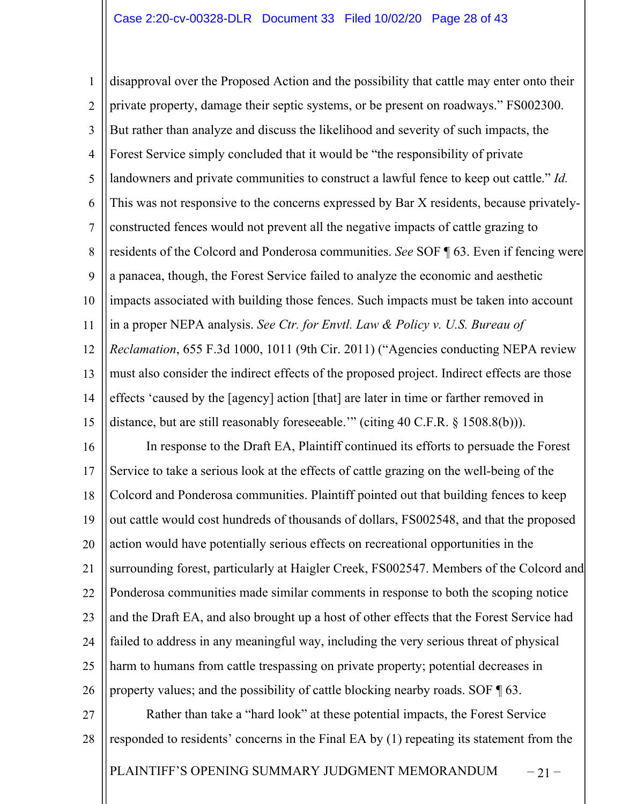PLAINTIFF'S OPENING SUMMARY JUDGMENT MEMORANDUM – 21 – 1 2 3 4 5 6 7 8 9 10 11 12 13 14 15 16 17 18 19 20 21 22 23 24 25 26 27 28 disapproval over the Proposed Action and the possibility that cattle may enter onto their private property, damage their septic systems, or be present on roadways." FS002300. But rather than analyze and discuss the likelihood and severity of such impacts, the Forest Service simply concluded that it would be "the responsibility of private landowners and private communities to construct a lawful fence to keep out cattle." *Id.* This was not responsive to the concerns expressed by Bar X residents, because privatelyconstructed fences would not prevent all the negative impacts of cattle grazing to residents of the Colcord and Ponderosa communities. *See* SOF ¶ 63. Even if fencing were a panacea, though, the Forest Service failed to analyze the economic and aesthetic impacts associated with building those fences. Such impacts must be taken into account in a proper NEPA analysis. *See Ctr. for Envtl. Law & Policy v. U.S. Bureau of Reclamation*, 655 F.3d 1000, 1011 (9th Cir. 2011) ("Agencies conducting NEPA review must also consider the indirect effects of the proposed project. Indirect effects are those effects 'caused by the [agency] action [that] are later in time or farther removed in distance, but are still reasonably foreseeable.'" (citing 40 C.F.R. § 1508.8(b))). In response to the Draft EA, Plaintiff continued its efforts to persuade the Forest Service to take a serious look at the effects of cattle grazing on the well-being of the Colcord and Ponderosa communities. Plaintiff pointed out that building fences to keep out cattle would cost hundreds of thousands of dollars, FS002548, and that the proposed action would have potentially serious effects on recreational opportunities in the surrounding forest, particularly at Haigler Creek, FS002547. Members of the Colcord and Ponderosa communities made similar comments in response to both the scoping notice and the Draft EA, and also brought up a host of other effects that the Forest Service had failed to address in any meaningful way, including the very serious threat of physical harm to humans from cattle trespassing on private property; potential decreases in property values; and the possibility of cattle blocking nearby roads. SOF ¶ 63. Rather than take a "hard look" at these potential impacts, the Forest Service responded to residents' concerns in the Final EA by (1) repeating its statement from the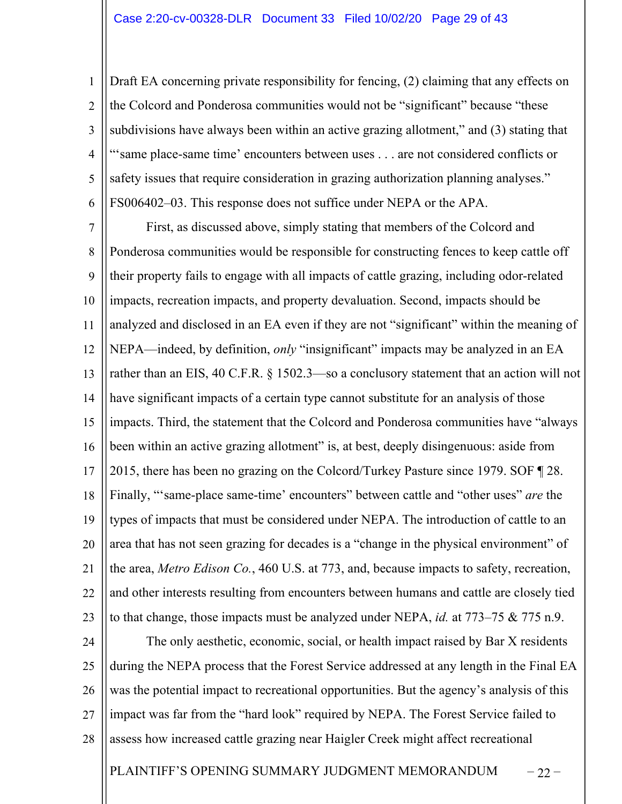1 2 3 4 5 6 Draft EA concerning private responsibility for fencing, (2) claiming that any effects on the Colcord and Ponderosa communities would not be "significant" because "these subdivisions have always been within an active grazing allotment," and (3) stating that "'same place-same time' encounters between uses . . . are not considered conflicts or safety issues that require consideration in grazing authorization planning analyses." FS006402–03. This response does not suffice under NEPA or the APA.

7 8 9 10 11 12 13 14 15 16 17 18 19 20 21 22 23 First, as discussed above, simply stating that members of the Colcord and Ponderosa communities would be responsible for constructing fences to keep cattle off their property fails to engage with all impacts of cattle grazing, including odor-related impacts, recreation impacts, and property devaluation. Second, impacts should be analyzed and disclosed in an EA even if they are not "significant" within the meaning of NEPA—indeed, by definition, *only* "insignificant" impacts may be analyzed in an EA rather than an EIS, 40 C.F.R. § 1502.3—so a conclusory statement that an action will not have significant impacts of a certain type cannot substitute for an analysis of those impacts. Third, the statement that the Colcord and Ponderosa communities have "always been within an active grazing allotment" is, at best, deeply disingenuous: aside from 2015, there has been no grazing on the Colcord/Turkey Pasture since 1979. SOF ¶ 28. Finally, "'same-place same-time' encounters" between cattle and "other uses" *are* the types of impacts that must be considered under NEPA. The introduction of cattle to an area that has not seen grazing for decades is a "change in the physical environment" of the area, *Metro Edison Co.*, 460 U.S. at 773, and, because impacts to safety, recreation, and other interests resulting from encounters between humans and cattle are closely tied to that change, those impacts must be analyzed under NEPA, *id.* at 773–75 & 775 n.9.

24 25 26 27 28 The only aesthetic, economic, social, or health impact raised by Bar X residents during the NEPA process that the Forest Service addressed at any length in the Final EA was the potential impact to recreational opportunities. But the agency's analysis of this impact was far from the "hard look" required by NEPA. The Forest Service failed to assess how increased cattle grazing near Haigler Creek might affect recreational

PLAINTIFF'S OPENING SUMMARY JUDGMENT MEMORANDUM – 22 –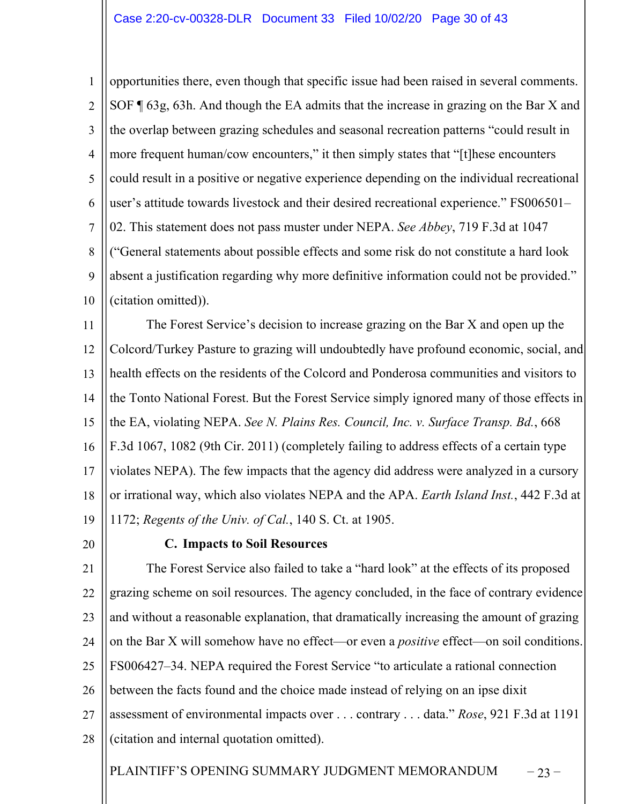1 2 3 4 5 6 7 8 9 10 opportunities there, even though that specific issue had been raised in several comments. SOF ¶ 63g, 63h. And though the EA admits that the increase in grazing on the Bar X and the overlap between grazing schedules and seasonal recreation patterns "could result in more frequent human/cow encounters," it then simply states that "[t]hese encounters could result in a positive or negative experience depending on the individual recreational user's attitude towards livestock and their desired recreational experience." FS006501– 02. This statement does not pass muster under NEPA. *See Abbey*, 719 F.3d at 1047 ("General statements about possible effects and some risk do not constitute a hard look absent a justification regarding why more definitive information could not be provided." (citation omitted)).

11 12 13 14 15 16 17 18 19 The Forest Service's decision to increase grazing on the Bar X and open up the Colcord/Turkey Pasture to grazing will undoubtedly have profound economic, social, and health effects on the residents of the Colcord and Ponderosa communities and visitors to the Tonto National Forest. But the Forest Service simply ignored many of those effects in the EA, violating NEPA. *See N. Plains Res. Council, Inc. v. Surface Transp. Bd.*, 668 F.3d 1067, 1082 (9th Cir. 2011) (completely failing to address effects of a certain type violates NEPA). The few impacts that the agency did address were analyzed in a cursory or irrational way, which also violates NEPA and the APA. *Earth Island Inst.*, 442 F.3d at 1172; *Regents of the Univ. of Cal.*, 140 S. Ct. at 1905.

20

## **C. Impacts to Soil Resources**

21 22 23 24 25 26 27 28 The Forest Service also failed to take a "hard look" at the effects of its proposed grazing scheme on soil resources. The agency concluded, in the face of contrary evidence and without a reasonable explanation, that dramatically increasing the amount of grazing on the Bar X will somehow have no effect—or even a *positive* effect—on soil conditions. FS006427–34. NEPA required the Forest Service "to articulate a rational connection between the facts found and the choice made instead of relying on an ipse dixit assessment of environmental impacts over . . . contrary . . . data." *Rose*, 921 F.3d at 1191 (citation and internal quotation omitted).

PLAINTIFF'S OPENING SUMMARY JUDGMENT MEMORANDUM – 23 –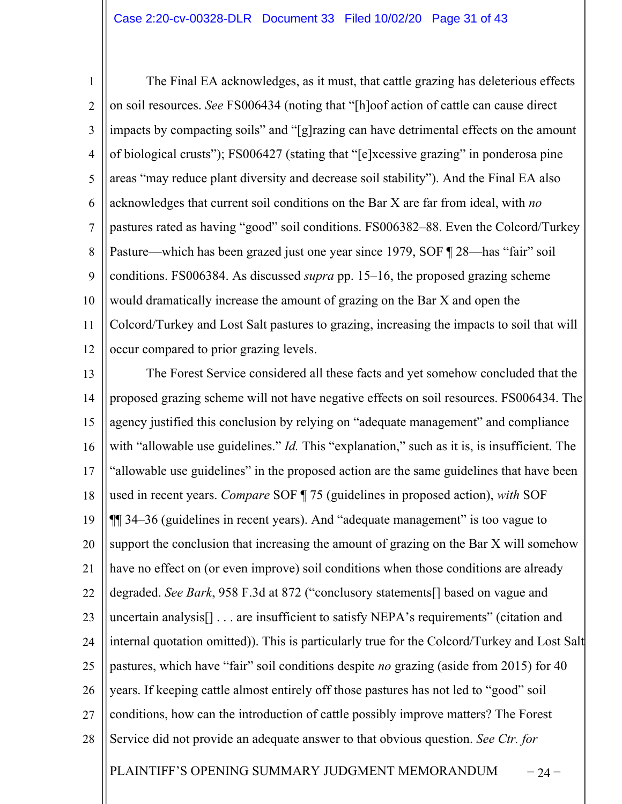1 2 3 4 5 6 7 8  $\mathbf Q$ 10 11 12 The Final EA acknowledges, as it must, that cattle grazing has deleterious effects on soil resources. *See* FS006434 (noting that "[h]oof action of cattle can cause direct impacts by compacting soils" and "[g]razing can have detrimental effects on the amount of biological crusts"); FS006427 (stating that "[e]xcessive grazing" in ponderosa pine areas "may reduce plant diversity and decrease soil stability"). And the Final EA also acknowledges that current soil conditions on the Bar X are far from ideal, with *no*  pastures rated as having "good" soil conditions. FS006382–88. Even the Colcord/Turkey Pasture—which has been grazed just one year since 1979, SOF ¶ 28—has "fair" soil conditions. FS006384. As discussed *supra* pp. 15–16, the proposed grazing scheme would dramatically increase the amount of grazing on the Bar X and open the Colcord/Turkey and Lost Salt pastures to grazing, increasing the impacts to soil that will occur compared to prior grazing levels.

PLAINTIFF'S OPENING SUMMARY JUDGMENT MEMORANDUM – 24 – 13 14 15 16 17 18 19 20 21 22 23 24 25 26 27 28 The Forest Service considered all these facts and yet somehow concluded that the proposed grazing scheme will not have negative effects on soil resources. FS006434. The agency justified this conclusion by relying on "adequate management" and compliance with "allowable use guidelines." *Id.* This "explanation," such as it is, is insufficient. The "allowable use guidelines" in the proposed action are the same guidelines that have been used in recent years. *Compare* SOF ¶ 75 (guidelines in proposed action), *with* SOF ¶¶ 34–36 (guidelines in recent years). And "adequate management" is too vague to support the conclusion that increasing the amount of grazing on the Bar X will somehow have no effect on (or even improve) soil conditions when those conditions are already degraded. *See Bark*, 958 F.3d at 872 ("conclusory statements[] based on vague and uncertain analysis[] . . . are insufficient to satisfy NEPA's requirements" (citation and internal quotation omitted)). This is particularly true for the Colcord/Turkey and Lost Salt pastures, which have "fair" soil conditions despite *no* grazing (aside from 2015) for 40 years. If keeping cattle almost entirely off those pastures has not led to "good" soil conditions, how can the introduction of cattle possibly improve matters? The Forest Service did not provide an adequate answer to that obvious question. *See Ctr. for*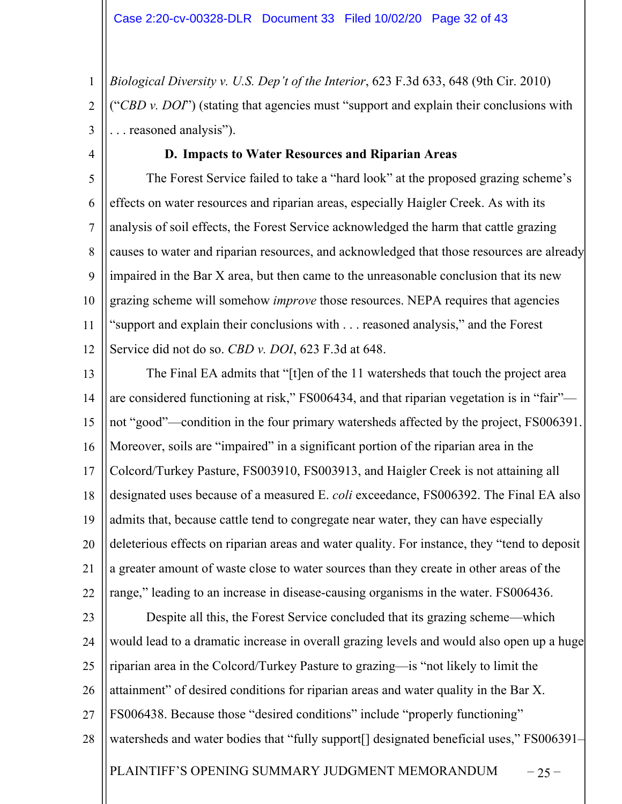1 2 3 *Biological Diversity v. U.S. Dep't of the Interior*, 623 F.3d 633, 648 (9th Cir. 2010) ("*CBD v. DOI*") (stating that agencies must "support and explain their conclusions with . . . reasoned analysis").

4

## **D. Impacts to Water Resources and Riparian Areas**

5 6 7 8  $\mathbf Q$ 10 11 12 The Forest Service failed to take a "hard look" at the proposed grazing scheme's effects on water resources and riparian areas, especially Haigler Creek. As with its analysis of soil effects, the Forest Service acknowledged the harm that cattle grazing causes to water and riparian resources, and acknowledged that those resources are already impaired in the Bar X area, but then came to the unreasonable conclusion that its new grazing scheme will somehow *improve* those resources. NEPA requires that agencies "support and explain their conclusions with . . . reasoned analysis," and the Forest Service did not do so. *CBD v. DOI*, 623 F.3d at 648.

13 14 15 16 17 18 19 20 21 22 The Final EA admits that "[t]en of the 11 watersheds that touch the project area are considered functioning at risk," FS006434, and that riparian vegetation is in "fair" not "good"—condition in the four primary watersheds affected by the project, FS006391. Moreover, soils are "impaired" in a significant portion of the riparian area in the Colcord/Turkey Pasture, FS003910, FS003913, and Haigler Creek is not attaining all designated uses because of a measured E. *coli* exceedance, FS006392. The Final EA also admits that, because cattle tend to congregate near water, they can have especially deleterious effects on riparian areas and water quality. For instance, they "tend to deposit a greater amount of waste close to water sources than they create in other areas of the range," leading to an increase in disease-causing organisms in the water. FS006436.

PLAINTIFF'S OPENING SUMMARY JUDGMENT MEMORANDUM  $-25$ 23 24 25 26 27 28 Despite all this, the Forest Service concluded that its grazing scheme—which would lead to a dramatic increase in overall grazing levels and would also open up a huge riparian area in the Colcord/Turkey Pasture to grazing—is "not likely to limit the attainment" of desired conditions for riparian areas and water quality in the Bar X. FS006438. Because those "desired conditions" include "properly functioning" watersheds and water bodies that "fully support<sup>[]</sup> designated beneficial uses," FS006391–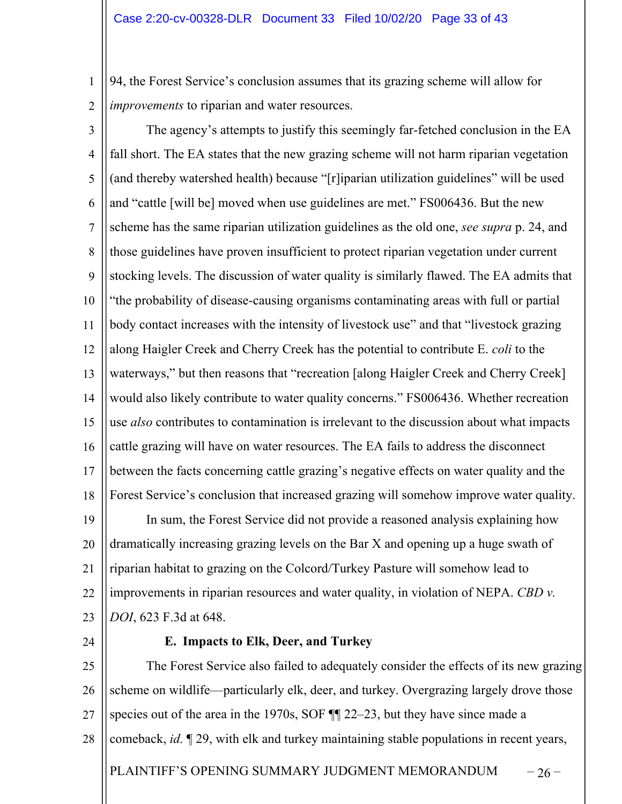1 2 94, the Forest Service's conclusion assumes that its grazing scheme will allow for *improvements* to riparian and water resources.

- 3 4 5 6 7 8 9 10 11 12 13 14 15 16 17 18 19 20 21 22 The agency's attempts to justify this seemingly far-fetched conclusion in the EA fall short. The EA states that the new grazing scheme will not harm riparian vegetation (and thereby watershed health) because "[r]iparian utilization guidelines" will be used and "cattle [will be] moved when use guidelines are met." FS006436. But the new scheme has the same riparian utilization guidelines as the old one, *see supra* p. 24, and those guidelines have proven insufficient to protect riparian vegetation under current stocking levels. The discussion of water quality is similarly flawed. The EA admits that "the probability of disease-causing organisms contaminating areas with full or partial body contact increases with the intensity of livestock use" and that "livestock grazing along Haigler Creek and Cherry Creek has the potential to contribute E. *coli* to the waterways," but then reasons that "recreation [along Haigler Creek and Cherry Creek] would also likely contribute to water quality concerns." FS006436. Whether recreation use *also* contributes to contamination is irrelevant to the discussion about what impacts cattle grazing will have on water resources. The EA fails to address the disconnect between the facts concerning cattle grazing's negative effects on water quality and the Forest Service's conclusion that increased grazing will somehow improve water quality. In sum, the Forest Service did not provide a reasoned analysis explaining how dramatically increasing grazing levels on the Bar X and opening up a huge swath of riparian habitat to grazing on the Colcord/Turkey Pasture will somehow lead to improvements in riparian resources and water quality, in violation of NEPA. *CBD v.*
- 23 24

*DOI*, 623 F.3d at 648.

#### **E. Impacts to Elk, Deer, and Turkey**

PLAINTIFF'S OPENING SUMMARY JUDGMENT MEMORANDUM  $-26$  – 25 26 27 28 The Forest Service also failed to adequately consider the effects of its new grazing scheme on wildlife—particularly elk, deer, and turkey. Overgrazing largely drove those species out of the area in the 1970s, SOF  $\P$  22–23, but they have since made a comeback, *id.* ¶ 29, with elk and turkey maintaining stable populations in recent years,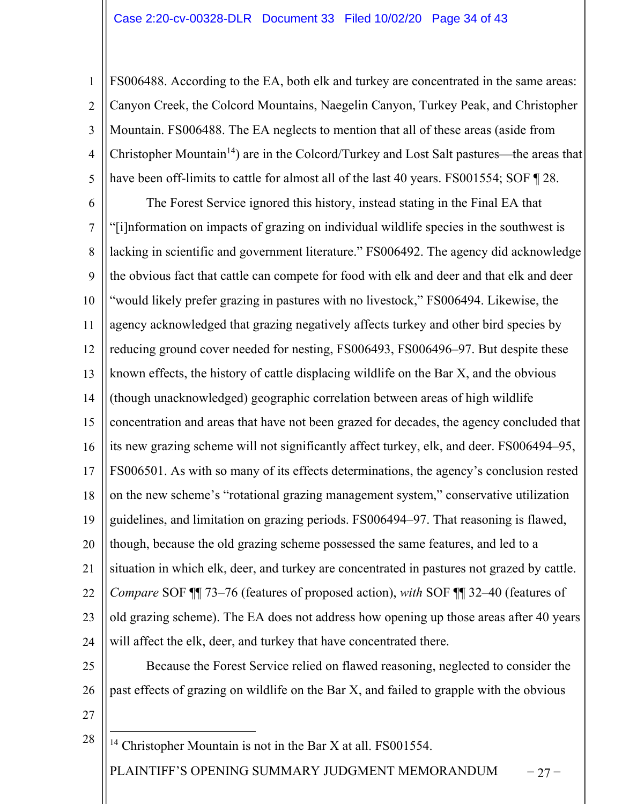1 2 3 4 5 FS006488. According to the EA, both elk and turkey are concentrated in the same areas: Canyon Creek, the Colcord Mountains, Naegelin Canyon, Turkey Peak, and Christopher Mountain. FS006488. The EA neglects to mention that all of these areas (aside from Christopher Mountain<sup>14</sup>) are in the Colcord/Turkey and Lost Salt pastures—the areas that have been off-limits to cattle for almost all of the last 40 years. FS001554; SOF 128.

6 7 8  $\mathbf Q$ 10 11 12 13 14 15 16 17 18 19 20 21 22 23 24 The Forest Service ignored this history, instead stating in the Final EA that "[i]nformation on impacts of grazing on individual wildlife species in the southwest is lacking in scientific and government literature." FS006492. The agency did acknowledge the obvious fact that cattle can compete for food with elk and deer and that elk and deer "would likely prefer grazing in pastures with no livestock," FS006494. Likewise, the agency acknowledged that grazing negatively affects turkey and other bird species by reducing ground cover needed for nesting, FS006493, FS006496–97. But despite these known effects, the history of cattle displacing wildlife on the Bar X, and the obvious (though unacknowledged) geographic correlation between areas of high wildlife concentration and areas that have not been grazed for decades, the agency concluded that its new grazing scheme will not significantly affect turkey, elk, and deer. FS006494–95, FS006501. As with so many of its effects determinations, the agency's conclusion rested on the new scheme's "rotational grazing management system," conservative utilization guidelines, and limitation on grazing periods. FS006494–97. That reasoning is flawed, though, because the old grazing scheme possessed the same features, and led to a situation in which elk, deer, and turkey are concentrated in pastures not grazed by cattle. *Compare* SOF ¶¶ 73–76 (features of proposed action), *with* SOF ¶¶ 32–40 (features of old grazing scheme). The EA does not address how opening up those areas after 40 years will affect the elk, deer, and turkey that have concentrated there.

25 26 Because the Forest Service relied on flawed reasoning, neglected to consider the past effects of grazing on wildlife on the Bar X, and failed to grapple with the obvious

27

PLAINTIFF'S OPENING SUMMARY JUDGMENT MEMORANDUM – 27 – 28 <sup>14</sup> Christopher Mountain is not in the Bar X at all. FS001554.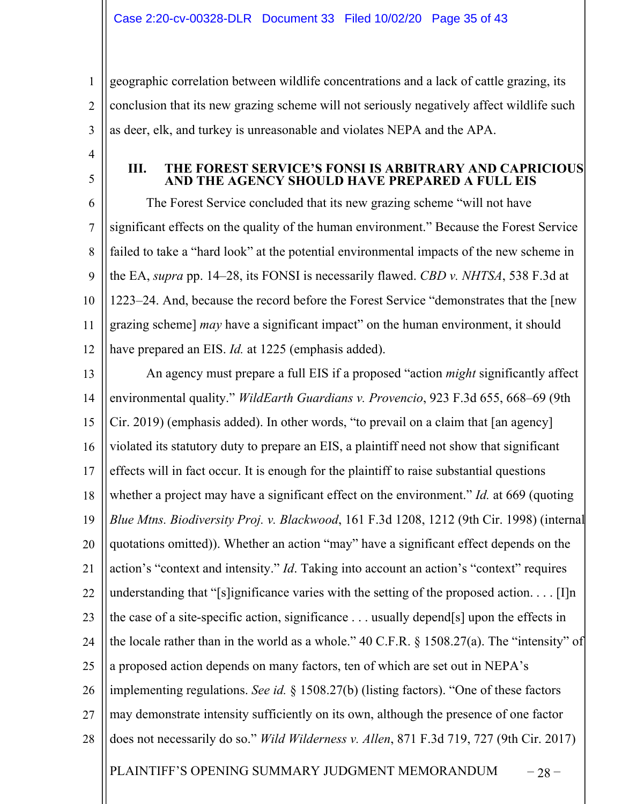1 2 3 geographic correlation between wildlife concentrations and a lack of cattle grazing, its conclusion that its new grazing scheme will not seriously negatively affect wildlife such as deer, elk, and turkey is unreasonable and violates NEPA and the APA.

4

5

## **III. THE FOREST SERVICE'S FONSI IS ARBITRARY AND CAPRICIOUS AND THE AGENCY SHOULD HAVE PREPARED A FULL EIS**

6 7 8  $\mathbf Q$ 10 11 12 The Forest Service concluded that its new grazing scheme "will not have significant effects on the quality of the human environment." Because the Forest Service failed to take a "hard look" at the potential environmental impacts of the new scheme in the EA, *supra* pp. 14–28, its FONSI is necessarily flawed. *CBD v. NHTSA*, 538 F.3d at 1223–24. And, because the record before the Forest Service "demonstrates that the [new grazing scheme] *may* have a significant impact" on the human environment, it should have prepared an EIS. *Id.* at 1225 (emphasis added).

PLAINTIFF'S OPENING SUMMARY JUDGMENT MEMORANDUM  $-28$  – 13 14 15 16 17 18 19 20 21 22 23 24 25 26 27 28 An agency must prepare a full EIS if a proposed "action *might* significantly affect environmental quality." *WildEarth Guardians v. Provencio*, 923 F.3d 655, 668–69 (9th Cir. 2019) (emphasis added). In other words, "to prevail on a claim that [an agency] violated its statutory duty to prepare an EIS, a plaintiff need not show that significant effects will in fact occur. It is enough for the plaintiff to raise substantial questions whether a project may have a significant effect on the environment." *Id.* at 669 (quoting *Blue Mtns. Biodiversity Proj. v. Blackwood*, 161 F.3d 1208, 1212 (9th Cir. 1998) (internal quotations omitted)). Whether an action "may" have a significant effect depends on the action's "context and intensity." *Id*. Taking into account an action's "context" requires understanding that "[s]ignificance varies with the setting of the proposed action.  $\dots$  [I]n the case of a site-specific action, significance . . . usually depend[s] upon the effects in the locale rather than in the world as a whole."  $40 \text{ C.F.R.}$  § 1508.27(a). The "intensity" of a proposed action depends on many factors, ten of which are set out in NEPA's implementing regulations. *See id.* § 1508.27(b) (listing factors). "One of these factors may demonstrate intensity sufficiently on its own, although the presence of one factor does not necessarily do so." *Wild Wilderness v. Allen*, 871 F.3d 719, 727 (9th Cir. 2017)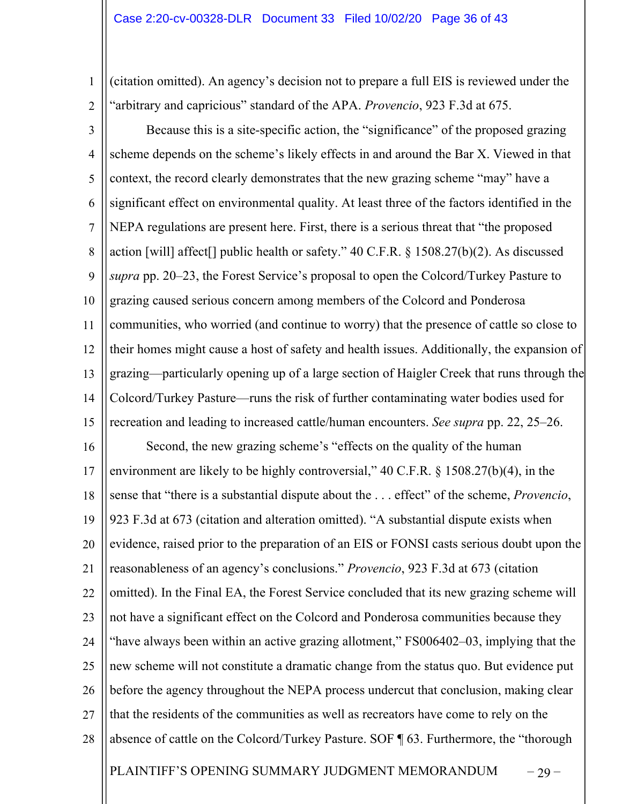1 2 (citation omitted). An agency's decision not to prepare a full EIS is reviewed under the "arbitrary and capricious" standard of the APA. *Provencio*, 923 F.3d at 675.

PLAINTIFF'S OPENING SUMMARY JUDGMENT MEMORANDUM – 29 – 3 4 5 6 7 8 9 10 11 12 13 14 15 16 17 18 19 20 21 22 23 24 25 26 27 28 Because this is a site-specific action, the "significance" of the proposed grazing scheme depends on the scheme's likely effects in and around the Bar X. Viewed in that context, the record clearly demonstrates that the new grazing scheme "may" have a significant effect on environmental quality. At least three of the factors identified in the NEPA regulations are present here. First, there is a serious threat that "the proposed action [will] affect[] public health or safety." 40 C.F.R. § 1508.27(b)(2). As discussed *supra* pp. 20–23, the Forest Service's proposal to open the Colcord/Turkey Pasture to grazing caused serious concern among members of the Colcord and Ponderosa communities, who worried (and continue to worry) that the presence of cattle so close to their homes might cause a host of safety and health issues. Additionally, the expansion of grazing—particularly opening up of a large section of Haigler Creek that runs through the Colcord/Turkey Pasture—runs the risk of further contaminating water bodies used for recreation and leading to increased cattle/human encounters. *See supra* pp. 22, 25–26. Second, the new grazing scheme's "effects on the quality of the human environment are likely to be highly controversial," 40 C.F.R. § 1508.27(b)(4), in the sense that "there is a substantial dispute about the . . . effect" of the scheme, *Provencio*, 923 F.3d at 673 (citation and alteration omitted). "A substantial dispute exists when evidence, raised prior to the preparation of an EIS or FONSI casts serious doubt upon the reasonableness of an agency's conclusions." *Provencio*, 923 F.3d at 673 (citation omitted). In the Final EA, the Forest Service concluded that its new grazing scheme will not have a significant effect on the Colcord and Ponderosa communities because they "have always been within an active grazing allotment," FS006402–03, implying that the new scheme will not constitute a dramatic change from the status quo. But evidence put before the agency throughout the NEPA process undercut that conclusion, making clear that the residents of the communities as well as recreators have come to rely on the absence of cattle on the Colcord/Turkey Pasture. SOF ¶ 63. Furthermore, the "thorough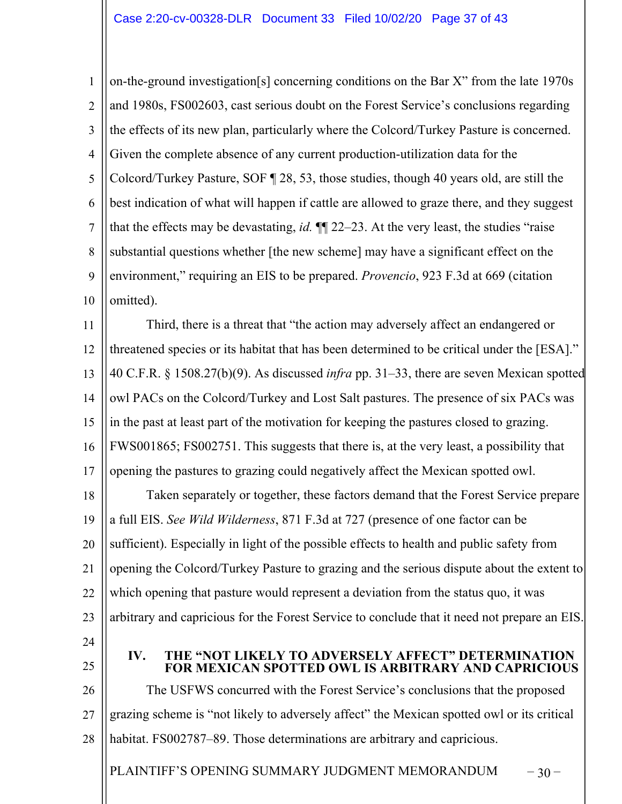1 2 3 4 5 6 7 8 9 10 on-the-ground investigation[s] concerning conditions on the Bar X" from the late 1970s and 1980s, FS002603, cast serious doubt on the Forest Service's conclusions regarding the effects of its new plan, particularly where the Colcord/Turkey Pasture is concerned. Given the complete absence of any current production-utilization data for the Colcord/Turkey Pasture, SOF ¶ 28, 53, those studies, though 40 years old, are still the best indication of what will happen if cattle are allowed to graze there, and they suggest that the effects may be devastating, *id.* ¶¶ 22–23. At the very least, the studies "raise substantial questions whether [the new scheme] may have a significant effect on the environment," requiring an EIS to be prepared. *Provencio*, 923 F.3d at 669 (citation omitted).

11 12 13 14 15 16 17 Third, there is a threat that "the action may adversely affect an endangered or threatened species or its habitat that has been determined to be critical under the [ESA]." 40 C.F.R. § 1508.27(b)(9). As discussed *infra* pp. 31–33, there are seven Mexican spotted owl PACs on the Colcord/Turkey and Lost Salt pastures. The presence of six PACs was in the past at least part of the motivation for keeping the pastures closed to grazing. FWS001865; FS002751. This suggests that there is, at the very least, a possibility that opening the pastures to grazing could negatively affect the Mexican spotted owl.

18 19 20 21 22 23 24 Taken separately or together, these factors demand that the Forest Service prepare a full EIS. *See Wild Wilderness*, 871 F.3d at 727 (presence of one factor can be sufficient). Especially in light of the possible effects to health and public safety from opening the Colcord/Turkey Pasture to grazing and the serious dispute about the extent to which opening that pasture would represent a deviation from the status quo, it was arbitrary and capricious for the Forest Service to conclude that it need not prepare an EIS.

- 
- 25

**IV. THE "NOT LIKELY TO ADVERSELY AFFECT" DETERMINATION FOR MEXICAN SPOTTED OWL IS ARBITRARY AND CAPRICIOUS**

26 27 28 The USFWS concurred with the Forest Service's conclusions that the proposed grazing scheme is "not likely to adversely affect" the Mexican spotted owl or its critical habitat. FS002787–89. Those determinations are arbitrary and capricious.

PLAINTIFF'S OPENING SUMMARY JUDGMENT MEMORANDUM  $-30$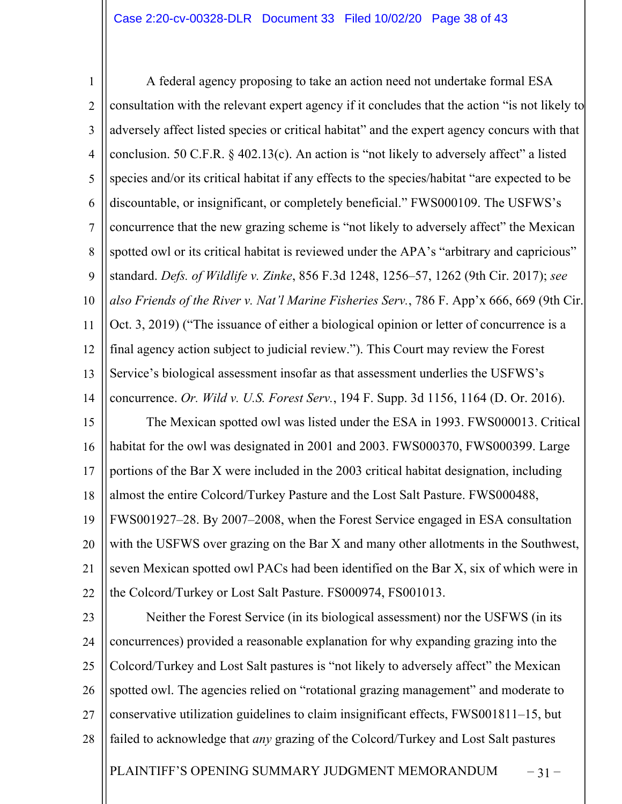1 2 3 4 5 6 7 8  $\mathbf Q$ 10 11 12 13 14 15 16 17 18 19 20 21 22 23 24 A federal agency proposing to take an action need not undertake formal ESA consultation with the relevant expert agency if it concludes that the action "is not likely to adversely affect listed species or critical habitat" and the expert agency concurs with that conclusion. 50 C.F.R. § 402.13(c). An action is "not likely to adversely affect" a listed species and/or its critical habitat if any effects to the species/habitat "are expected to be discountable, or insignificant, or completely beneficial." FWS000109. The USFWS's concurrence that the new grazing scheme is "not likely to adversely affect" the Mexican spotted owl or its critical habitat is reviewed under the APA's "arbitrary and capricious" standard. *Defs. of Wildlife v. Zinke*, 856 F.3d 1248, 1256–57, 1262 (9th Cir. 2017); *see also Friends of the River v. Nat'l Marine Fisheries Serv.*, 786 F. App'x 666, 669 (9th Cir. Oct. 3, 2019) ("The issuance of either a biological opinion or letter of concurrence is a final agency action subject to judicial review."). This Court may review the Forest Service's biological assessment insofar as that assessment underlies the USFWS's concurrence. *Or. Wild v. U.S. Forest Serv.*, 194 F. Supp. 3d 1156, 1164 (D. Or. 2016). The Mexican spotted owl was listed under the ESA in 1993. FWS000013. Critical habitat for the owl was designated in 2001 and 2003. FWS000370, FWS000399. Large portions of the Bar X were included in the 2003 critical habitat designation, including almost the entire Colcord/Turkey Pasture and the Lost Salt Pasture. FWS000488, FWS001927–28. By 2007–2008, when the Forest Service engaged in ESA consultation with the USFWS over grazing on the Bar X and many other allotments in the Southwest, seven Mexican spotted owl PACs had been identified on the Bar X, six of which were in the Colcord/Turkey or Lost Salt Pasture. FS000974, FS001013. Neither the Forest Service (in its biological assessment) nor the USFWS (in its concurrences) provided a reasonable explanation for why expanding grazing into the

25 26 27 Colcord/Turkey and Lost Salt pastures is "not likely to adversely affect" the Mexican spotted owl. The agencies relied on "rotational grazing management" and moderate to conservative utilization guidelines to claim insignificant effects, FWS001811–15, but

28 failed to acknowledge that *any* grazing of the Colcord/Turkey and Lost Salt pastures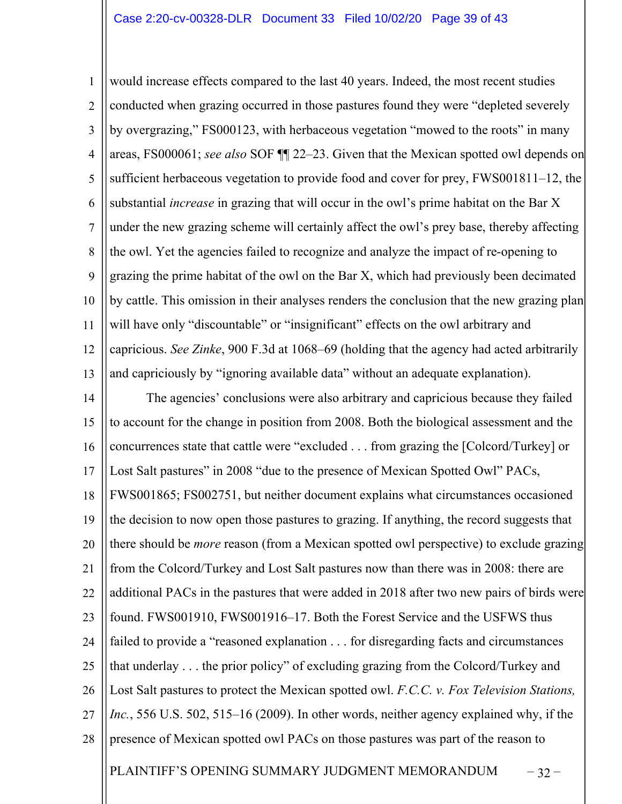1 2 3 4 5 6 7 8 9 10 11 12 13 would increase effects compared to the last 40 years. Indeed, the most recent studies conducted when grazing occurred in those pastures found they were "depleted severely by overgrazing," FS000123, with herbaceous vegetation "mowed to the roots" in many areas, FS000061; *see also* SOF ¶¶ 22–23. Given that the Mexican spotted owl depends on sufficient herbaceous vegetation to provide food and cover for prey, FWS001811–12, the substantial *increase* in grazing that will occur in the owl's prime habitat on the Bar X under the new grazing scheme will certainly affect the owl's prey base, thereby affecting the owl. Yet the agencies failed to recognize and analyze the impact of re-opening to grazing the prime habitat of the owl on the Bar X, which had previously been decimated by cattle. This omission in their analyses renders the conclusion that the new grazing plan will have only "discountable" or "insignificant" effects on the owl arbitrary and capricious. *See Zinke*, 900 F.3d at 1068–69 (holding that the agency had acted arbitrarily and capriciously by "ignoring available data" without an adequate explanation).

PLAINTIFF'S OPENING SUMMARY JUDGMENT MEMORANDUM – 32 – 14 15 16 17 18 19 20 21 22 23 24 25 26 27 28 The agencies' conclusions were also arbitrary and capricious because they failed to account for the change in position from 2008. Both the biological assessment and the concurrences state that cattle were "excluded . . . from grazing the [Colcord/Turkey] or Lost Salt pastures" in 2008 "due to the presence of Mexican Spotted Owl" PACs, FWS001865; FS002751, but neither document explains what circumstances occasioned the decision to now open those pastures to grazing. If anything, the record suggests that there should be *more* reason (from a Mexican spotted owl perspective) to exclude grazing from the Colcord/Turkey and Lost Salt pastures now than there was in 2008: there are additional PACs in the pastures that were added in 2018 after two new pairs of birds were found. FWS001910, FWS001916–17. Both the Forest Service and the USFWS thus failed to provide a "reasoned explanation . . . for disregarding facts and circumstances that underlay . . . the prior policy" of excluding grazing from the Colcord/Turkey and Lost Salt pastures to protect the Mexican spotted owl. *F.C.C. v. Fox Television Stations, Inc.*, 556 U.S. 502, 515–16 (2009). In other words, neither agency explained why, if the presence of Mexican spotted owl PACs on those pastures was part of the reason to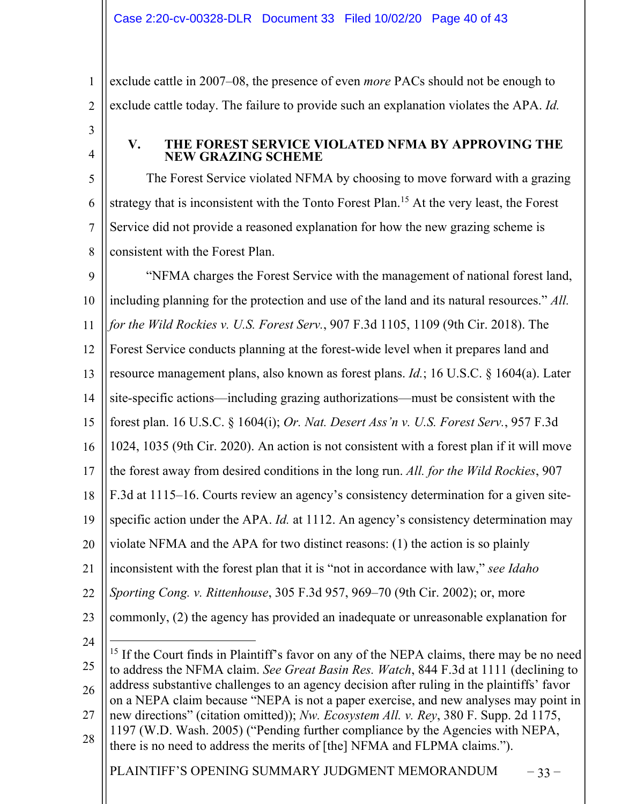1 2 exclude cattle in 2007–08, the presence of even *more* PACs should not be enough to exclude cattle today. The failure to provide such an explanation violates the APA. *Id.*

3 4

## **V. THE FOREST SERVICE VIOLATED NFMA BY APPROVING THE NEW GRAZING SCHEME**

5 6 7 8 The Forest Service violated NFMA by choosing to move forward with a grazing strategy that is inconsistent with the Tonto Forest Plan.<sup>15</sup> At the very least, the Forest Service did not provide a reasoned explanation for how the new grazing scheme is consistent with the Forest Plan.

 $\mathbf Q$ 10 11 12 13 14 15 16 17 18 19 20 21 22 23 24 25 26 27 28 "NFMA charges the Forest Service with the management of national forest land, including planning for the protection and use of the land and its natural resources." *All. for the Wild Rockies v. U.S. Forest Serv.*, 907 F.3d 1105, 1109 (9th Cir. 2018). The Forest Service conducts planning at the forest-wide level when it prepares land and resource management plans, also known as forest plans. *Id.*; 16 U.S.C. § 1604(a). Later site-specific actions—including grazing authorizations—must be consistent with the forest plan. 16 U.S.C. § 1604(i); *Or. Nat. Desert Ass'n v. U.S. Forest Serv.*, 957 F.3d 1024, 1035 (9th Cir. 2020). An action is not consistent with a forest plan if it will move the forest away from desired conditions in the long run. *All. for the Wild Rockies*, 907 F.3d at 1115–16. Courts review an agency's consistency determination for a given sitespecific action under the APA. *Id.* at 1112. An agency's consistency determination may violate NFMA and the APA for two distinct reasons: (1) the action is so plainly inconsistent with the forest plan that it is "not in accordance with law," *see Idaho Sporting Cong. v. Rittenhouse*, 305 F.3d 957, 969–70 (9th Cir. 2002); or, more commonly, (2) the agency has provided an inadequate or unreasonable explanation for  $15$  If the Court finds in Plaintiff's favor on any of the NEPA claims, there may be no need to address the NFMA claim. *See Great Basin Res. Watch*, 844 F.3d at 1111 (declining to address substantive challenges to an agency decision after ruling in the plaintiffs' favor on a NEPA claim because "NEPA is not a paper exercise, and new analyses may point in new directions" (citation omitted)); *Nw. Ecosystem All. v. Rey*, 380 F. Supp. 2d 1175, 1197 (W.D. Wash. 2005) ("Pending further compliance by the Agencies with NEPA, there is no need to address the merits of [the] NFMA and FLPMA claims.").

PLAINTIFF'S OPENING SUMMARY JUDGMENT MEMORANDUM – 33 –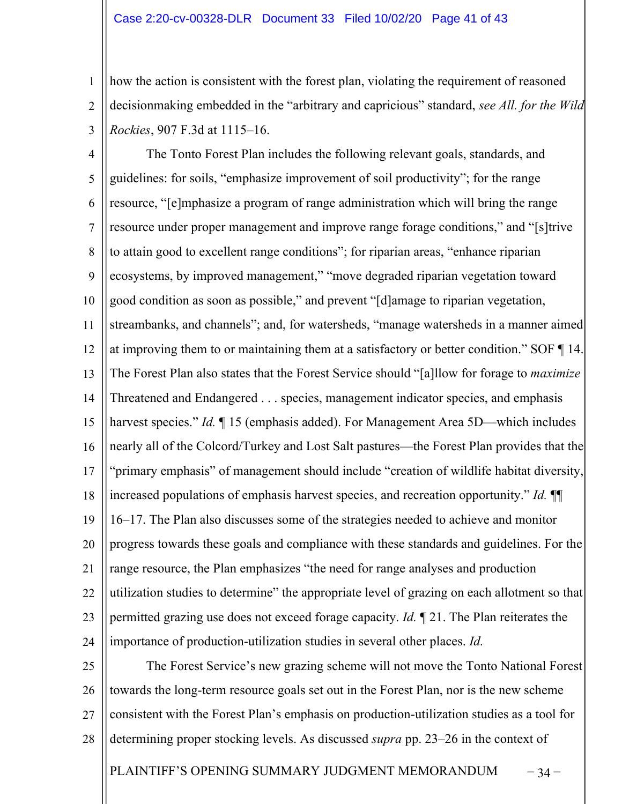#### Case 2:20-cv-00328-DLR Document 33 Filed 10/02/20 Page 41 of 43

1 2 3 how the action is consistent with the forest plan, violating the requirement of reasoned decisionmaking embedded in the "arbitrary and capricious" standard, *see All. for the Wild Rockies*, 907 F.3d at 1115–16.

4 5 6 7 8  $\mathbf Q$ 10 11 12 13 14 15 16 17 18 19 20 21 22 23 24 The Tonto Forest Plan includes the following relevant goals, standards, and guidelines: for soils, "emphasize improvement of soil productivity"; for the range resource, "[e]mphasize a program of range administration which will bring the range resource under proper management and improve range forage conditions," and "[s]trive to attain good to excellent range conditions"; for riparian areas, "enhance riparian ecosystems, by improved management," "move degraded riparian vegetation toward good condition as soon as possible," and prevent "[d]amage to riparian vegetation, streambanks, and channels"; and, for watersheds, "manage watersheds in a manner aimed at improving them to or maintaining them at a satisfactory or better condition." SOF ¶ 14. The Forest Plan also states that the Forest Service should "[a]llow for forage to *maximize* Threatened and Endangered . . . species, management indicator species, and emphasis harvest species." *Id.* 15 (emphasis added). For Management Area 5D—which includes nearly all of the Colcord/Turkey and Lost Salt pastures—the Forest Plan provides that the "primary emphasis" of management should include "creation of wildlife habitat diversity, increased populations of emphasis harvest species, and recreation opportunity." *Id.* ¶¶ 16–17. The Plan also discusses some of the strategies needed to achieve and monitor progress towards these goals and compliance with these standards and guidelines. For the range resource, the Plan emphasizes "the need for range analyses and production utilization studies to determine" the appropriate level of grazing on each allotment so that permitted grazing use does not exceed forage capacity. *Id.* ¶ 21. The Plan reiterates the importance of production-utilization studies in several other places. *Id.*

25 26 27 28 The Forest Service's new grazing scheme will not move the Tonto National Forest towards the long-term resource goals set out in the Forest Plan, nor is the new scheme consistent with the Forest Plan's emphasis on production-utilization studies as a tool for determining proper stocking levels. As discussed *supra* pp. 23–26 in the context of

PLAINTIFF'S OPENING SUMMARY JUDGMENT MEMORANDUM – 34 –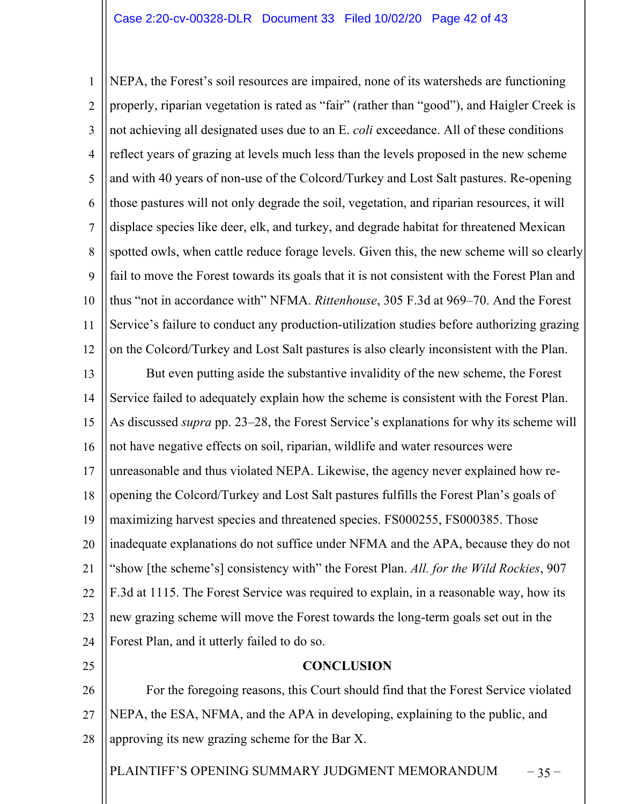1 2 3 4 5 6 7 8 9 10 11 12 NEPA, the Forest's soil resources are impaired, none of its watersheds are functioning properly, riparian vegetation is rated as "fair" (rather than "good"), and Haigler Creek is not achieving all designated uses due to an E. *coli* exceedance. All of these conditions reflect years of grazing at levels much less than the levels proposed in the new scheme and with 40 years of non-use of the Colcord/Turkey and Lost Salt pastures. Re-opening those pastures will not only degrade the soil, vegetation, and riparian resources, it will displace species like deer, elk, and turkey, and degrade habitat for threatened Mexican spotted owls, when cattle reduce forage levels. Given this, the new scheme will so clearly fail to move the Forest towards its goals that it is not consistent with the Forest Plan and thus "not in accordance with" NFMA. *Rittenhouse*, 305 F.3d at 969–70. And the Forest Service's failure to conduct any production-utilization studies before authorizing grazing on the Colcord/Turkey and Lost Salt pastures is also clearly inconsistent with the Plan.

13 14 15 16 17 18 19 20 21 22 23 24 But even putting aside the substantive invalidity of the new scheme, the Forest Service failed to adequately explain how the scheme is consistent with the Forest Plan. As discussed *supra* pp. 23–28, the Forest Service's explanations for why its scheme will not have negative effects on soil, riparian, wildlife and water resources were unreasonable and thus violated NEPA. Likewise, the agency never explained how reopening the Colcord/Turkey and Lost Salt pastures fulfills the Forest Plan's goals of maximizing harvest species and threatened species. FS000255, FS000385. Those inadequate explanations do not suffice under NFMA and the APA, because they do not "show [the scheme's] consistency with" the Forest Plan. *All. for the Wild Rockies*, 907 F.3d at 1115. The Forest Service was required to explain, in a reasonable way, how its new grazing scheme will move the Forest towards the long-term goals set out in the Forest Plan, and it utterly failed to do so.

25

## **CONCLUSION**

26 27 28 For the foregoing reasons, this Court should find that the Forest Service violated NEPA, the ESA, NFMA, and the APA in developing, explaining to the public, and approving its new grazing scheme for the Bar X.

PLAINTIFF'S OPENING SUMMARY JUDGMENT MEMORANDUM – 35 –